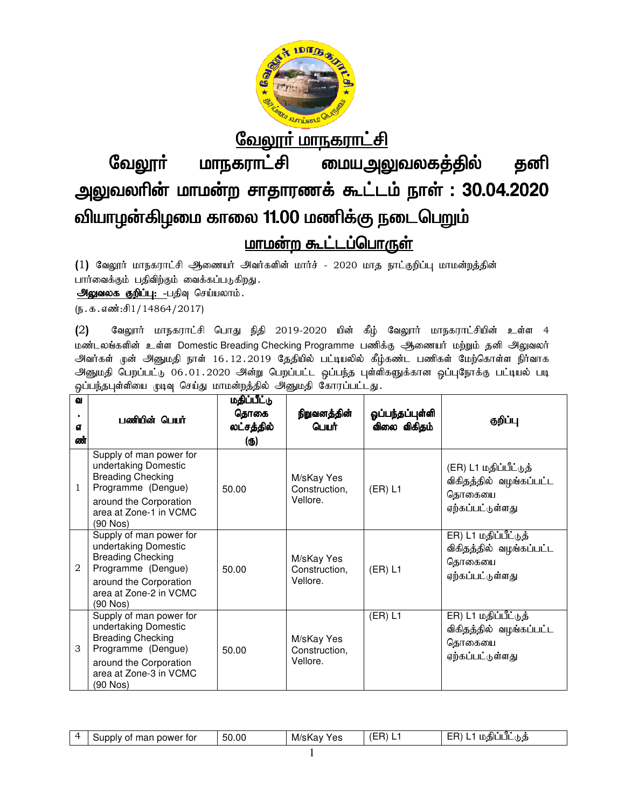

லேலூர் மாநகராட்சி

வேலூர் மாநகராட்சி வேலூா் மாநகராட்சி மையஅலுவலகத்தில் தனி<br>அலுவலாின் மாமன்ற சாதாரணக் கூட்டம் நாள் : 30.04.2020 வியாழன்கிழமை காலை 11.00 மணிக்கு நடைபெறும் மையஅலுவலகத்தில் **தனி** 

# <u>மாமன்ற கூட்டப்பொருள்</u>

(1) வேலூர் மாநகராட்சி ஆணையர் அவர்களின் மார்ச் - 2020 மாத நாட்குறிப்பு மாமன்றத்தின் பார்வைக்கும் பதிவிற்கும் வைக்கப்படுகிறது.

அலுவலக குறிப்பு: -பதிவு செய்யலாம்.

 $(\mathfrak{g.}\mathfrak{s.}\mathfrak{s.}\mathfrak{s.}\mathfrak{so}i:\mathfrak{f.}1/14864/2017)$ 

(2) வேலுார் மாநகராட்சி பொது நிதி 2019-2020 யின் கீழ் வேலுார் மாநகராட்சியின் உள்ள 4 மண்டலங்களின் உள்ள Domestic Breading Checking Programme பணிக்கு ஆணையர் மற்றும் தனி அலுவலர் அவர்கள் முன் அனுமதி நாள் 16.12.2019 தேதியில் பட்டியலில் கீழ்கண்ட பணிகள் மேற்கொள்ள நிர்வாக அனுமதி பெறப்பட்டு 06.01.2020 அன்று பெறப்பட்ட ஒப்பந்த புள்ளிகளுக்கான ஒப்புநோக்கு பட்டியல் படி ஒப்பந்தபுள்ளியை முடிவு செய்து மாமன்றத்தில் அனுமதி கோரப்பட்டது. 16.12.2019 தேதியில் பட்டியலில் கீழ்கண்ட பணிகள் மேற்கொள்ள நிர்வாக<br>020 அன்று பெறப்பட்ட ஒப்பந்த புள்ளிகளுக்கான ஒப்புநோக்கு பட்டியல் படி<br>மாமன்றத்தில் அனுமதி கோரப்பட்டது. (2) வேலூாா் மாநகராட்சி பொது நிதி 2019-2020 யின் கீழ் வேலூாா் மாநகராட்சியின் உள்<br>மண்டலங்களின் உள்ள Domestic Breading Checking Programme பணிக்கு ஆணையா் மற்றும் தனி அ<sub>இ</sub><br>அவா்கள் முன் அனுமதி நாள் 16.12.2019 தேதியில் பட்டியலில

| ഖ<br><b>GT</b><br>ண் | பணியின் பெயர்                                                                                                                                                     | மதிப்பீட்டு<br>தொகை<br>லட்சத்தில்<br>(ரு) | நிறுவனத்தின்<br>பெயர்                   | ஓப்பந்தப்புள்ளி<br>விலை விகிதம் | குறிப்பு                                                                       |
|----------------------|-------------------------------------------------------------------------------------------------------------------------------------------------------------------|-------------------------------------------|-----------------------------------------|---------------------------------|--------------------------------------------------------------------------------|
| 1                    | Supply of man power for<br>undertaking Domestic<br><b>Breading Checking</b><br>Programme (Dengue)<br>around the Corporation<br>area at Zone-1 in VCMC<br>(90 Nos) | 50.00                                     | M/sKay Yes<br>Construction,<br>Vellore. | (ER) L1                         | (ER) L1 மதிப்பீட்டுத்<br>விகிதத்தில் வழங்கப்பட்ட<br>தொகையை<br>ஏற்கப்பட்டுள்ளது |
| 2                    | Supply of man power for<br>undertaking Domestic<br><b>Breading Checking</b><br>Programme (Dengue)<br>around the Corporation<br>area at Zone-2 in VCMC<br>(90 Nos) | 50.00                                     | M/sKay Yes<br>Construction,<br>Vellore. | (ER) L1                         | ER) L1 மதிப்பீட்டுத்<br>விகிதத்தில் வழங்கப்பட்ட<br>தொகையை<br>ஏற்கப்பட்டுள்ளது  |
| 3                    | Supply of man power for<br>undertaking Domestic<br><b>Breading Checking</b><br>Programme (Dengue)<br>around the Corporation<br>area at Zone-3 in VCMC<br>(90 Nos) | 50.00                                     | M/sKay Yes<br>Construction,<br>Vellore. | (ER) L1                         | ER) L1 மதிப்பீட்டுத்<br>விகிதத்தில் வழங்கப்பட்ட<br>தொகையை<br>ஏற்கப்பட்டுள்ளது  |

|  | power for<br>Supply<br>эт<br>ार्भि | 50.00 | YAς<br>M/s<br><br><b>.</b><br>ura<br>ັ | ---<br>--<br>-- | ∩√#Sll<br>ЛL<br>Ш<br>hФ |
|--|------------------------------------|-------|----------------------------------------|-----------------|-------------------------|
|--|------------------------------------|-------|----------------------------------------|-----------------|-------------------------|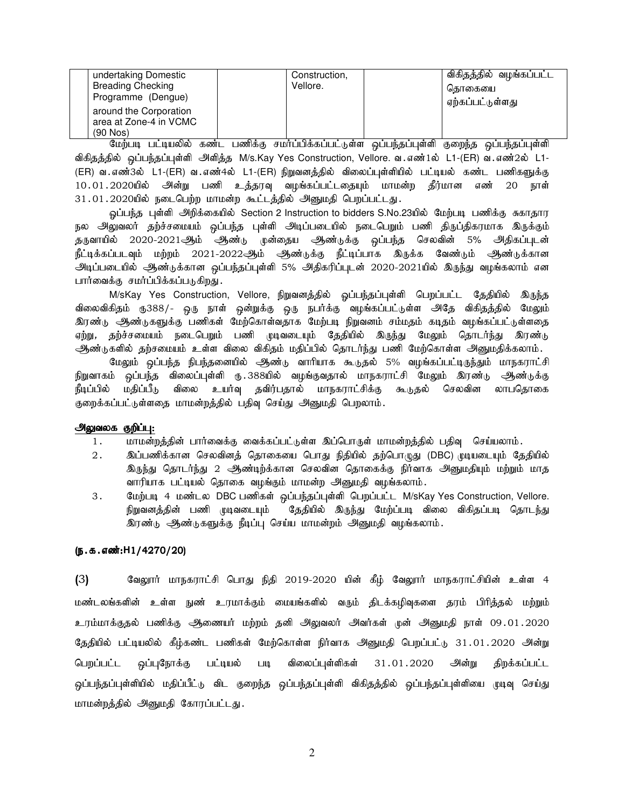| undertaking Domestic     | Construction, | விகிதத்தில் வழங்கப்பட்ட |
|--------------------------|---------------|-------------------------|
| <b>Breading Checking</b> | Vellore.      | கொகையை                  |
| Programme (Dengue)       |               | ஏற்கப்பட்டுள்ளது        |
| around the Corporation   |               |                         |
| area at Zone-4 in VCMC   |               |                         |
| $(90$ Nos $)$            |               |                         |

மேற்படி பட்டியலில் கண்ட பணிக்கு சமர்ப்பிக்கப்பட்டுள்ள ஒப்பந்தப்புள்ளி குறைந்த ஒப்பந்தப்புள்ளி விகிதத்தில் ஒப்பந்தப்புள்ளி அளித்த M/s.Kay Yes Construction, Vellore. வ.எண்1ல் L1-(ER) வ.எண்2ல் L1-(ER) வ.எண்3ல் L1-(ER) வ.எண்4ல் L1-(ER) நிறுவனத்தில் விலைப்புள்ளியில் பட்டியல் கண்ட பணிகளுக்கு 10.01.2020யில் அன்று பணி உத்தரவு வழங்கப்பட்டதையும் மாமன்ற தீர்மான எண் 20 நாள் 31.01.2020யில் நடைபெற்ற மாமன்ற கூட்டத்தில் அனுமதி பெறப்பட்டது.

ஒப்பந்த புள்ளி அறிக்கையில் Section 2 Instruction to bidders S.No.23யில் மேற்படி பணிக்கு சுகாதார நல அலுவலர் தற்ச்சமையம் ஒப்பந்த புள்ளி அடிப்படையில் நடைபெறும் பணி திருப்திகரமாக இருக்கும் தருவாயில் 2020-2021ஆம் ஆண்டு முன்தைய ஆண்டுக்கு ஒப்பந்த செலவின் 5% அதிகப்புடன் நீட்டிக்கப்படவும் மற்றம் 2021-2022<del>ூ</del>)ம் ஆண்டுக்கு நீட்டிப்பாக இருக்க வேண்டும் ஆண்டுக்கான அடிப்படையில் ஆண்டுக்கான ஒப்பந்தப்புள்ளி 5% அதிகரிப்புடன் 2020-2021யில் இருந்து வழங்கலாம் என பார்வைக்கு சமர்ப்பிக்கப்படுகிறது.

M/sKay Yes Construction, Vellore, நிறுவனத்தில் ஓப்பந்தப்புள்ளி பெறப்பட்ட தேதியில் இருந்த விலைவிகிதம் ரு388/- ஒரு நாள் ஒன்றுக்கு ஒரு நபர்க்கு வழங்கப்பட்டுள்ள அதே விகிதத்தில் மேலும் .<br>இரண்டு அண்டுகளுக்கு பணிகள் மேற்கொள்வதாக மேற்படி நிறுவனம் சம்மதம் கடிதம் வழங்கப்பட்டுள்ளதை ஏற்று, தற்ச்சமையம் நடைபெறும் பணி முடிவடையும் தேதியில் இருந்து மேலும் தொடர்ந்து இரண்டு ஆண்டுகளில் தற்சமையம் உள்ள விலை விகிதம் மதிப்பில் தொடர்ந்து பணி மேற்கொள்ள அனுமதிக்கலாம்.

மேலும் ஒப்பந்த நிபந்தனையில் ஆண்டு வாரியாக கூடுதல் 5% வழங்கப்பட்டிருந்தும் மாநகராட்சி நிறுவாகம் ஒப்பந்த விலைப்புள்ளி ரு.388யில் வழங்குவதால் மாநகராட்சி மேலும் இரண்டு ஆண்டுக்கு நீடிப்பில் மதிப்பீடு விலை உயர்வு தவிர்பதால் மாநகராட்சிக்கு கூடுதல் செலவின லாபதொகை குறைக்கப்பட்டுள்ளதை மாமன்றத்தில் பதிவு செய்து அனுமதி பெறலாம்.

#### அலுவலக குறிப்பு:

- 1. khkd;wj;jpd; ghh;itf;F itf;fg;gl;Ls;s ng;bghUs; khkd;wj;jpy; gjpt[ bra;ayhk;.
- 2. ng;gzpf;fhd brytpdj; bjhifia bghJ epjpapy; jw;bghGJ (DBC) Koaila[k; Bjjpapy; இருந்து தொடர்ந்து 2 ஆண்டிற்க்கான செலவின தொகைக்கு நிர்வாக அனுமதியும் மற்றும் மாத வாரியாக பட்டியல் தொகை வழங்கும் மாமன்ற அனுமதி வழங்கலாம்.
- 3. மேற்படி 4 மண்டல DBC பணிகள் ஒப்பந்தப்புள்ளி பெறப்பட்ட M/sKay Yes Construction, Vellore. நிறுவனத்தின் பணி முடிவடையும் தேதியில் இருந்து மேற்ப்படி விலை விகிதப்படி தொடந்து இரண்டு ஆண்டுகளுக்கு நீடிப்பு செய்ய மாமன்றம் அனுமதி வழங்கலாம்.

#### (ந.க.எண்:H1/4270/20)

(3) வேலூா் மாநகராட்சி பொது நிதி 2019-2020 யின் கீழ் வேலூா் மாநகராட்சியின் உள்ள 4 மண்டலங்களின் உள்ள நுண் உரமாக்கும் மையங்களில் வரும் திடக்கழிவுகளை தரம் பிரித்தல் மற்றும் உரம்மாக்குதல் பணிக்கு ஆணையர் மற்றம் தனி அலுவலர் அவர்கள் முன் அனுமதி நாள் 09.01.2020 தேதியில் பட்டியலில் கீழ்கண்ட பணிகள் மேற்கொள்ள நிர்வாக அனுமதி பெறப்பட்டு 31.01.2020 அன்று பெறப்பட்ட ஒப்புநோக்கு பட்டியல் படி விலைப்புள்ளிகள் 31.01.2020 அன்று திறக்கப்பட்ட ஒப்பந்தப்புள்ளியில் மதிப்பீட்டு விட குறைந்த ஒப்பந்தப்புள்ளி விகிதத்தில் ஒப்பந்தப்புள்ளியை முடிவு செய்து மாமன்றத்தில் அனுமதி கோரப்பட்டது.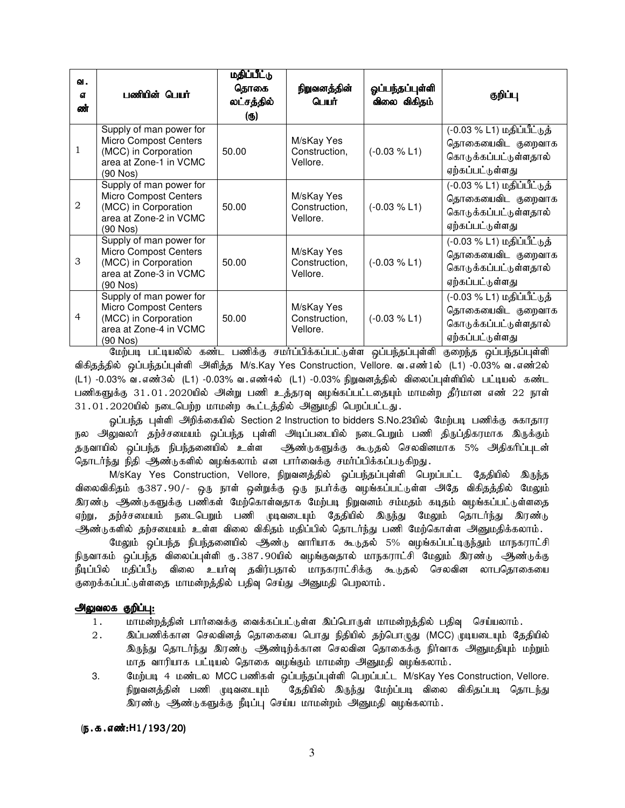| வ.<br>đ<br>ண்  | பணியின் பெயர்                                                                                                         | மதிப்பீட்டு<br>தொகை<br>லட்சத்தில்<br>(ரு) | நிறுவனத்தின்<br>பெயர்                   | ஓப்பந்தப்புள்ளி<br>விலை விகிதம் | குறிப்பு                                                                                     |
|----------------|-----------------------------------------------------------------------------------------------------------------------|-------------------------------------------|-----------------------------------------|---------------------------------|----------------------------------------------------------------------------------------------|
| 1              | Supply of man power for<br><b>Micro Compost Centers</b><br>(MCC) in Corporation<br>area at Zone-1 in VCMC<br>(90 Nos) | 50.00                                     | M/sKay Yes<br>Construction,<br>Vellore. | $(-0.03 % L1)$                  | (-0.03 % L1) மதிப்பீட்டுத்<br>தொகையைவிட குறைவாக<br>கொடுக்கப்பட்டுள்ளதால்<br>ஏற்கப்பட்டுள்ளது |
| $\mathfrak{D}$ | Supply of man power for<br><b>Micro Compost Centers</b><br>(MCC) in Corporation<br>area at Zone-2 in VCMC<br>(90 Nos) | 50.00                                     | M/sKay Yes<br>Construction,<br>Vellore. | $(-0.03 % L1)$                  | (-0.03 % L1) மதிப்பீட்டுத்<br>தொகையைவிட குறைவாக<br>கொடுக்கப்பட்டுள்ளதால்<br>ஏற்கப்பட்டுள்ளது |
| 3              | Supply of man power for<br><b>Micro Compost Centers</b><br>(MCC) in Corporation<br>area at Zone-3 in VCMC<br>(90 Nos) | 50.00                                     | M/sKay Yes<br>Construction,<br>Vellore. | $(-0.03 % L1)$                  | (-0.03 % L1) மதிப்பீட்டுத்<br>தொகையைவிட குறைவாக<br>கொடுக்கப்பட்டுள்ளதால்<br>ஏற்கப்பட்டுள்ளது |
| 4              | Supply of man power for<br><b>Micro Compost Centers</b><br>(MCC) in Corporation<br>area at Zone-4 in VCMC<br>(90 Nos) | 50.00                                     | M/sKay Yes<br>Construction,<br>Vellore. | $(-0.03 % L1)$                  | (-0.03 % L1) மதிப்பீட்டுத்<br>தொகையைவிட குறைவாக<br>கொடுக்கப்பட்டுள்ளதால்<br>ஏற்கப்பட்டுள்ளது |

மேற்படி பட்டியலில் கண்ட பணிக்கு சமா்ப்பிக்கப்பட்டுள்ள ஒப்பந்தப்புள்ளி குறைந்த ஒப்பந்தப்புள்ளி விகிதத்தில் ஒப்பந்தப்புள்ளி அளித்த M/s.Kay Yes Construction, Vellore. வ .எண்1ல் (L1) -0.03% வ .எண்2ல் (L1) -0.03% வ.எண்3ல் (L1) -0.03% வ.எண்4ல் (L1) -0.03% நிறுவனத்தில் விலைப்புள்ளியில் பட்டியல் கண்ட பணிகளுக்கு 31.01.2020யில் அன்று பணி உத்தரவு வழங்கப்பட்டதையும் மாமன்ற தீர்மான எண் 22 நாள் 31.01.2020யில் நடைபெற்ற மாமன்ற கூட்டத்தில் அனுமதி பெறப்பட்டது.

ஓப்பந்த புள்ளி அறிக்கையில் Section 2 Instruction to bidders S.No.23யில் மேற்படி பணிக்கு சுகாதார நல அலுவலர் தற்ச்சமையம் ஒப்பந்த புள்ளி அடிப்படையில் நடைபெறும் பணி திருப்திகரமாக இருக்கும் தருவாயில் ஒப்பந்த நிபந்தனையில் உள்ள ஆண்டுகளுக்கு கூடுதல் செலவினமாக 5% அதிகரிப்புடன் தொடர்ந்து நிதி அூண்டுகளில் வழங்கலாம் என பார்வைக்கு சமர்ப்பிக்கப்படுகிறது.

M/sKay Yes Construction, Vellore, நிறுவனத்தில் ஓப்பந்தப்புள்ளி பெறப்பட்ட தேதியில் இருந்த விலைவிகிதம் ரு387.90/- ஒரு நாள் ஒன்றுக்கு ஒரு நபர்க்கு வழங்கப்பட்டுள்ள அதே விகிதத்தில் மேலும் <u>இரண்டு, ஆண்டுகளுக்கு ப</u>ணிகள் மேற்கொள்வதாக மேற்படி நிறுவனம் சம்மதம் கடிதம் வழங்கப்பட்டுள்ளதை ஏற்று, தற்ச்சமையம் நடைபெறும் பணி முடிவடையும் தேதியில் இருந்து மேலும் தொடர்ந்து இரண்டு ஆண்டுகளில் தற்சமையம் உள்ள விலை விகிதம் மதிப்பில் தொடர்ந்து பணி மேற்கொள்ள அனுமதிக்கலாம்.

மேலும் ஒப்பந்த நிபந்தனையில் ஆண்டு வாரியாக கூடுதல் 5% வழங்கப்பட்டிருந்தும் மாநகராட்சி நிருவாகம் ஒப்பந்த விலைப்புள்ளி ரு.387.90யில் வழங்குவதால் மாநகராட்சி மேலும் இரண்டு <del>அ</del>ண்டுக்கு நீடிப்பில் மதிப்பீடு விலை உயர்வு தவிர்பதால் மாநகராட்சிக்கு கூடுதல் செலவின லாபதொகையை குறைக்கப்பட்டுள்ளதை மாமன்றத்தில் பதிவு செய்து அனுமதி பெறலாம்.

#### அலுவலக குறிப்பு:

- 1. khru மன்றத்தின் பார்வைக்கு வைக்கப்பட்டுள்ள இப்பொருள் மாமன்றத்தில் பதிவு செய்யலாம்.
- 2 . இப்பணிக்கான செலவினத் தொகையை பொது நிதியில் தற்பொழுது (MCC) முடியடையும் தேதியில் இருந்து தொடர்ந்து இரண்டு ஆண்டிற்க்கான செலவின தொகைக்கு நிர்வாக அனுமதியும் மற்றும் மாத வாரியாக பட்டியல் தொகை வழங்கும் மாமன்ற அனுமதி வழங்கலாம்.
- 3. மேற்படி 4 மண்டல MCC பணிகள் ஒப்பந்தப்புள்ளி பெறப்பட்ட M/sKay Yes Construction, Vellore. நிறுவனத்தின் பணி முடிவடையும் தேதியில் இருந்து மேற்ப்படி விலை விகிதப்படி தொடந்து இரண்டு ஆண்டுகளுக்கு நீடிப்பு செய்ய மாமன்றம் அனுமதி வழங்கலாம்.

#### (**ந.க.எண்:H1/193/20**)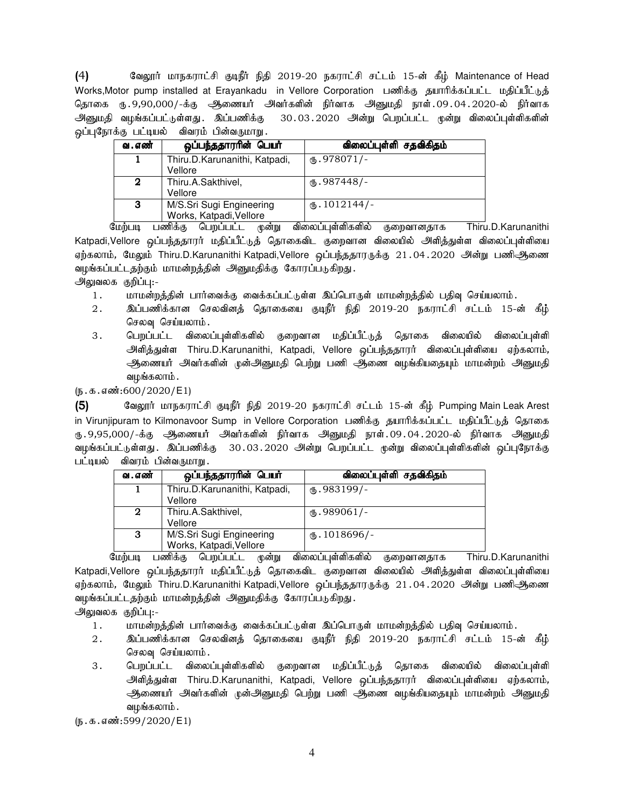(4) BtY]h; khefuhl;rp FoePh; epjp 2019-20 efuhl;rp rl;lk; 15-d; fPH; Maintenance of Head Works,Motor pump installed at Erayankadu in Vellore Corporation பணிக்கு தயாரிக்கப்பட்ட மதிப்பீட்டுத் தொகை ரு. 9,90,000/-க்கு ஆணையர் அவர்களின் நிர்வாக அனுமதி நாள். 09.04.2020-ல் நிர்வாக அனுமதி வழங்கப்பட்டுள்ளது. இப்பணிக்கு 30.03.2020 அன்று பெறப்பட்ட முன்று விலைப்புள்ளிகளின் ஒப்புநோக்கு பட்டியல் விவரம் பின்வருமாறு.

| வ . எண்      | ஒப்பந்ததாரரின் பெயர்                                | விலைப்புள்ளி சதவிகிதம் |
|--------------|-----------------------------------------------------|------------------------|
|              | Thiru.D.Karunanithi, Katpadi,<br>Vellore            | $M_{\rm b}$ .978071/-  |
| 2            | Thiru.A.Sakthivel,<br>Vellore                       | $M_{\rm b}$ .987448/-  |
| $\mathbf{3}$ | M/S.Sri Sugi Engineering<br>Works, Katpadi, Vellore | $\mathbf{0.1012144/-}$ |

மேற்படி பணிக்கு பெறப்பட்ட முன்று விலைப்புள்ளிகளில் குறைவானதாக Thiru.D.Karunanithi Katpadi,Vellore ஒப்பந்ததாரர் மதிப்பீட்டுத் தொகைவிட குறைவான விலையில் அளித்துள்ள விலைப்புள்ளியை ஏற்கலாம், மேலும் Thiru.D.Karunanithi Katpadi,Vellore ஒப்பந்ததாரருக்கு 21.04.2020 அன்று பணிஆணை வழங்கப்பட்டதற்கும் மாமன்றத்தின் அனுமதிக்கு கோரப்படுகிறது.

அலுவலக குறிப்பு:-

- 1. khr மன்றத்தின் பார்வைக்கு வைக்கப்பட்டுள்ள இப்பொருள் மாமன்றத்தில் பதிவு செய்யலாம்.
- 2. இப்பணிக்கான செலவினத் தொகையை குடிநீர் நிதி 2019-20 நகராட்சி சட்டம் 15-ன் கீழ் செலவு செய்யலாம்.
- 3 . பெறப்பட்ட விலைப்புள்ளிகளில் குறைவான மதிப்பீட்டுத் தொகை விலையில் விலைப்புள்ளி அளித்துள்ள Thiru.D.Karunanithi, Katpadi, Vellore ஒப்பந்ததாரர் விலைப்புள்ளியை ஏற்கலாம், அணையர் அவர்களின் முன்அனுமதி பெற்று பணி ஆணை வழங்கியதையும் மாமன்றம் அனுமதி வழங்கலாம் .

 $(5.5.5.5\cdot\frac{1}{200})(2020)$  E1)

(5) வேலூர் மாநகராட்சி குடிநீர் நிதி 2019-20 நகராட்சி சட்டம் 15-ன் கீழ் Pumping Main Leak Arest in Virunjipuram to Kilmonavoor Sump in Vellore Corporation பணிக்கு தயாரிக்கப்பட்ட மதிப்பீட்டுத் தொகை ரு 9,95,000/-க்கு அணையர் அவர்களின் நிர்வாக அனுமதி நாள்.09.04.2020-ல் நிர்வாக அனுமதி வழங்கப்பட்டுள்ளது . இப்பணிக்கு 30 . 03 . 2020 அன்று பெறப்பட்ட முன்று விலைப்புள்ளிகளின் ஒப்புநோக்கு பட்டியல் விவரம் பின்வருமாறு .

| வ . எண்      | ஒப்பந்ததாரரின் பெயர்                     | விலைப்புள்ளி சதவிகிதம்   |
|--------------|------------------------------------------|--------------------------|
|              | Thiru.D.Karunanithi, Katpadi,<br>Vellore | $(D.983199/-$            |
|              |                                          |                          |
| $\mathbf{2}$ | Thiru.A.Sakthivel,                       | $\text{I}$ .989061/-     |
|              | Vellore                                  |                          |
| 3            | M/S.Sri Sugi Engineering                 | $\mathbf{L}$ . 1018696/- |
|              | Works, Katpadi, Vellore                  |                          |

மேற்படி பணிக்கு பெறப்பட்ட முன்று விலைப்புள்ளிகளில் குறைவானதாக Thiru.D.Karunanithi Katpadi,Vellore ஒப்பந்ததாரா் மதிப்பீட்டுத் தொகைவிட குறைவான விலையில் அளித்துள்ள விலைப்புள்ளியை ஏற்கலாம், மேலும் Thiru.D.Karunanithi Katpadi,Vellore ஒப்பந்ததாரருக்கு 21.04.2020 அன்று பணிஆணை வழங்கப்பட்டதற்கும் மாமன்றத்தின் அனுமதிக்கு கோரப்படுகிறது.

அலுவலக குறிப்பு:-

- 1. khr மன்றத்தின் பார்வைக்கு வைக்கப்பட்டுள்ள இப்பொருள் மாமன்றத்தில் பதிவு செய்யலாம்.
- 2. ng;gzpf;fhd brytpdj; bjhifia FoePh; epjp 2019-20 efuhl;rp rl;lk; 15-d; fPH; செலவு செய்யலாம்.
- 3 . பெறப்பட்ட விலைப்புள்ளிகளில் குறைவான மதிப்பீட்டுத் தொகை விலையில் விலைப்புள்ளி அளித்துள்ள Thiru.D.Karunanithi, Katpadi, Vellore ஒப்பந்ததாரர் விலைப்புள்ளியை ஏற்கலாம், அணையர் அவர்களின் முன்அனுமதி பெற்று பணி ஆணை வழங்கியதையும் மாமன்றம் அனுமதி வழங்கலாம்.

 $(5.5.5.599/2020/E1)$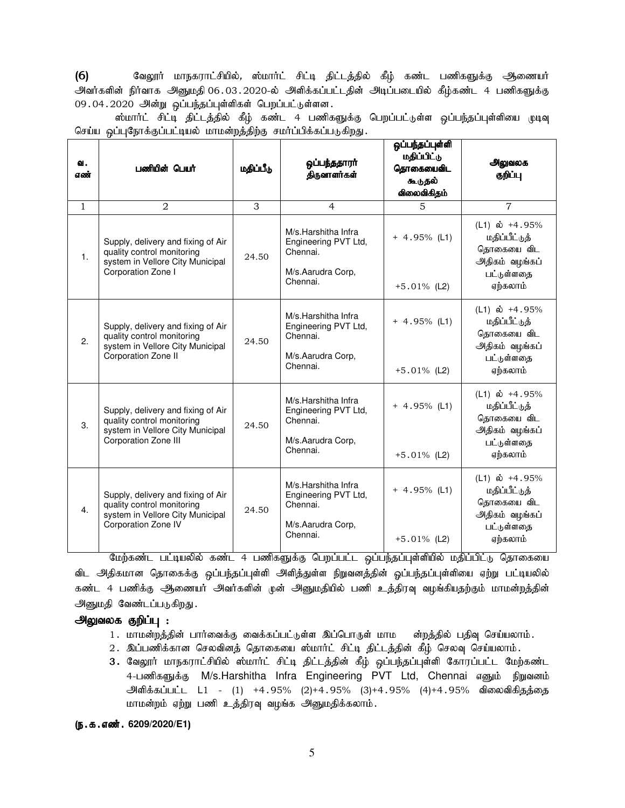(6) BtY]h; khefuhl;rpapy;, !;khh;l; rpl;o jpl;lj;jpy; fPH; fz;l gzpfSf;F Mizah; அவர்களின் நிர்வாக அனுமதி 06.03.2020-ல் அளிக்கப்பட்டதின் அடிப்படையில் கீழ்கண்ட 4 பணிகளுக்கு  $09.04.2020$  அன்று ஒப்பந்தப்புள்ளிகள் பெறப்பட்டுள்ளன.

ஸ்மார்ட் சிட்டி திட்டத்தில் கீழ் கண்ட 4 பணிகளுக்கு பெறப்பட்டுள்ள ஒப்பந்தப்புள்ளியை முடிவு செய்ய ஒப்புநோக்குப்பட்டியல் மாமன்றத்திற்கு சமர்ப்பிக்கப்படுகிறது.

| ഖ.<br>எண்    | பணியின் பெயர்                                                                                                                | மதிப்பீடு | ஒப்பந்ததாரர்<br>திருவாளர்கள்                                                             | ஒப்பந்தப்புள்ளி<br>மதிப்பிட்டு<br>தொகையைவிட<br>கூடுதல்<br>விலைவிகிதம் | அலுவலக<br>குறிப்பு                                                                                    |
|--------------|------------------------------------------------------------------------------------------------------------------------------|-----------|------------------------------------------------------------------------------------------|-----------------------------------------------------------------------|-------------------------------------------------------------------------------------------------------|
| $\mathbf{1}$ | $\mathfrak{D}$                                                                                                               | 3         | $\overline{4}$                                                                           | $\overline{5}$                                                        | $\overline{7}$                                                                                        |
| 1.           | Supply, delivery and fixing of Air<br>quality control monitoring<br>system in Vellore City Municipal<br>Corporation Zone I   | 24.50     | M/s.Harshitha Infra<br>Engineering PVT Ltd,<br>Chennai.<br>M/s.Aarudra Corp,<br>Chennai. | $+ 4.95\%$ (L1)<br>$+5.01\%$ (L2)                                     | (L1) $\dot{\omega}$ +4.95%<br>மதிப்பீட்டுத்<br>தொகையை விட<br>அதிகம் வழங்கப்<br>பட்டுள்ளதை<br>ஏற்கலாம் |
| 2.           | Supply, delivery and fixing of Air<br>quality control monitoring<br>system in Vellore City Municipal<br>Corporation Zone II  | 24.50     | M/s.Harshitha Infra<br>Engineering PVT Ltd,<br>Chennai.<br>M/s.Aarudra Corp,<br>Chennai. | $+ 4.95\%$ (L1)<br>$+5.01\%$ (L2)                                     | (L1) $\dot{\omega}$ +4.95%<br>மதிப்பீட்டுத்<br>தொகையை விட<br>அதிகம் வழங்கப்<br>பட்டுள்ளதை<br>ஏற்கலாம் |
| 3.           | Supply, delivery and fixing of Air<br>quality control monitoring<br>system in Vellore City Municipal<br>Corporation Zone III | 24.50     | M/s.Harshitha Infra<br>Engineering PVT Ltd,<br>Chennai.<br>M/s.Aarudra Corp,<br>Chennai. | $+ 4.95\%$ (L1)<br>$+5.01\%$ (L2)                                     | (L1) $\dot{\omega}$ +4.95%<br>மதிப்பீட்டுத்<br>தொகையை விட<br>அதிகம் வழங்கப்<br>பட்டுள்ளதை<br>ஏற்கலாம் |
| 4.           | Supply, delivery and fixing of Air<br>quality control monitoring<br>system in Vellore City Municipal<br>Corporation Zone IV  | 24.50     | M/s.Harshitha Infra<br>Engineering PVT Ltd,<br>Chennai.<br>M/s.Aarudra Corp,<br>Chennai. | $+ 4.95\%$ (L1)<br>$+5.01\%$ (L2)                                     | $(L1)$ ல் +4.95%<br>மதிப்பீட்டுத்<br>தொகையை விட<br>அதிகம் வழங்கப்<br>பட்டுள்ளதை<br>ஏற்கலாம்           |

மேற்கண்ட பட்டியலில் கண்ட 4 பணிகளுக்கு பெறப்பட்ட ஒப்பந்தப்புள்ளியில் மதிப்பிட்டு தொகையை விட அதிகமான தொகைக்கு ஒப்பந்தப்புள்ளி அளித்துள்ள நிறுவனத்தின் ஒப்பந்தப்புள்ளியை ஏற்று பட்டியலில் ்கண்ட 4 பணிக்கு ஆணையர் அவர்களின் முன் அனுமதியில் பணி உத்திரவு வழங்கியதற்கும் மாமன்றத்தின் அனுமதி வேண்டப்படுகிறது.

#### <u>அலுவலக குறிப்பு :</u>

- 1. மாமன்றத்தின் பார்வைக்கு வைக்கப்பட்டுள்ள இப்பொருள் மாம ள்றத்தில் பதிவு செய்யலாம்.
- 2. இப்பணிக்கான செலவினத் தொகையை ஸ்மார்ட் சிட்டி திட்டத்தின் கீழ் செலவு செய்யலாம்.
- 3. வேலூர் மாநகராட்சியில் ஸ்மார்ட் சிட்டி திட்டத்தின் கீழ் ஒப்பந்தப்புள்ளி கோரப்பட்ட மேற்கண்ட 4-பணிகளுக்கு M/s.Harshitha Infra Engineering PVT Ltd, Chennai எனும் நிறுவனம் அளிக்கப்பட்ட L1 - (1) +4.95% (2)+4.95% (3)+4.95% (4)+4.95% விலைவிகிதத்தை மாமன்றம் ஏற்று பணி உத்திரவு வழங்க அனுமதிக்கலாம்.

#### (ந.க.எண். 6209/2020/E1)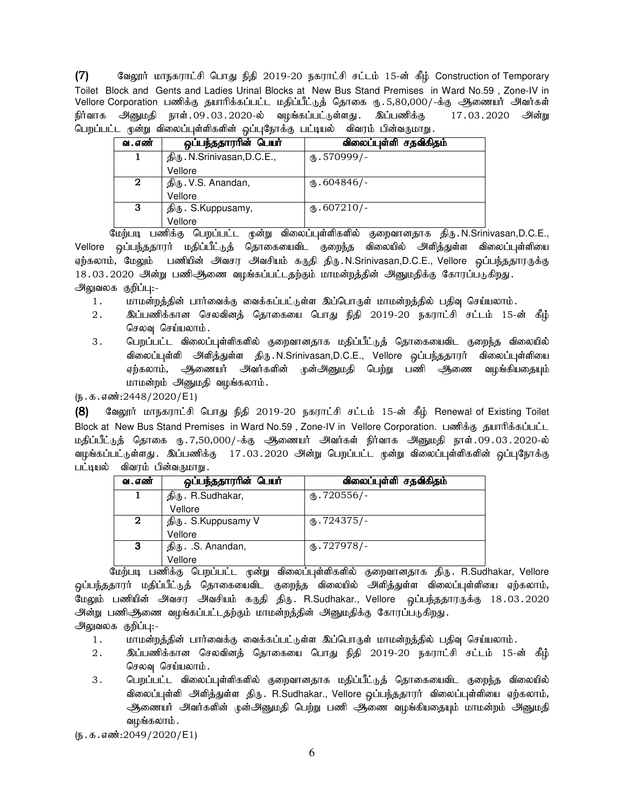$(7)$  Baலூர் மாநகராட்சி பொது நிதி 2019-20 நகராட்சி சட்டம் 15-ன் கீழ் Construction of Temporary Toilet Block and Gents and Ladies Urinal Blocks at New Bus Stand Premises in Ward No.59 , Zone-IV in Vellore Corporation பணிக்கு தயாரிக்கப்பட்ட மதிப்பீட்டுத் தொகை ரு. 5,80,000/-க்கு அணையர் அவர்கள் நிர்வாக அனுமதி நாள்.09.03.2020-ல் வழங்கப்பட்டுள்ளது. இப்பணிக்கு 17.03.2020 அன்று பெறப்பட்ட முன்று விலைப்புள்ளிகளின் ஒப்புநோக்கு பட்டியல் விவரம் பின்வருமாறு.

| வ . எண் | ஒப்பந்ததாரரின் பெயர்        | விலைப்புள்ளி சதவிகிதம்  |
|---------|-----------------------------|-------------------------|
|         | திரு. N.Srinivasan, D.C.E., | $\circledast$ .570999/- |
|         | Vellore                     |                         |
| 2       | திரு. V.S. Anandan,         | $M_{\rm b}$ .604846/-   |
|         | Vellore                     |                         |
| 3       | திரு. S.Kuppusamy,          | $\omega$ .607210/-      |
|         | Vellore                     |                         |

மேற்படி பணிக்கு பெறப்பட்ட முன்று விலைப்புள்ளிகளில் குறைவானதாக திரு.N.Srinivasan,D.C.E., Vellore ஒப்பந்ததாரர் மதிப்பீட்டுத் தொகையைவிட குறைந்த விலையில் அளித்துள்ள விலைப்புள்ளியை எற்கலாம், மேலும் பணியின் அவசா அவசியம் கருதி திரு.N.Srinivasan,D.C.E., Vellore ஒப்பந்ததாரருக்கு 18.03.2020 அன்று பணிஆணை வழங்கப்பட்டதற்கும் மாமன்றத்தின் அனுமதிக்கு கோரப்படுகிறது. அலுவலக குறிப்பு:-

- 1. khkd;wj;jpd; ghh;itf;F itf;fg;gl;Ls;s ng;bghUs; khkd;wj;jpy; gjpt[ bra;ayhk;.
- 2. இப்பணிக்கான செலவினத் தொகையை பொது நிதி 2019-20 நகராட்சி சட்டம் 15-ன் கீழ் செலவு செய்யலாம்.
- 3 . பெறப்பட்ட விலைப்புள்ளிகளில் குறைவானதாக மதிப்பீட்டுத் தொகையைவிட குறைந்த விலையில் விலைப்புள்ளி அளித்துள்ள திரு.N.Srinivasan,D.C.E., Vellore ஒப்பந்ததாரர் விலைப்புள்ளியை ஏற்கலாம், அிணையர் அவர்களின் முன்அனுமதி பெற்று பணி ஆணை வழங்கியதையும் மாமன்றம் அனுமதி வழங்கலாம்.

 $(\mathfrak{g}.\mathfrak{g}.\mathfrak{g}.\mathfrak{g}.\mathfrak{g}.\mathfrak{g}.\mathfrak{g}.\mathfrak{g}.\mathfrak{g}.\mathfrak{g}.\mathfrak{g}.\mathfrak{g}.\mathfrak{g}.\mathfrak{g}.\mathfrak{g}.\mathfrak{g}.\mathfrak{g}.\mathfrak{g}.\mathfrak{g}.\mathfrak{g}.\mathfrak{g}.\mathfrak{g}.\mathfrak{g}.\mathfrak{g}.\mathfrak{g}.\mathfrak{g}.\mathfrak{g}.\mathfrak{g}.\mathfrak{g}.\mathfrak{g}.\mathfrak{g}.\math$ 

(8) கேஷூர் மாநகராட்சி பொது நிதி 2019-20 நகராட்சி சட்டம் 15-ன் கீழ் Renewal of Existing Toilet Block at New Bus Stand Premises in Ward No.59, Zone-IV in Vellore Corporation. பணிக்கு தயாரிக்கப்பட்ட மதிப்பீட்டுத் தொகை ரு.7,50,000/-க்கு ஆணையர் அவர்கள் நிர்வாக அனுமதி நாள்.09.03.2020-ல் வழங்கப்பட்டுள்ளது . இப்பணிக்கு 17.03.2020 அன்று பெறப்பட்ட முன்று விலைப்புள்ளிகளின் ஒப்புநோக்கு பட்டியல் விவரம் பின்வருமாறு .

| வ . எண்     | ஒப்பந்ததாரரின் பெயர் | விலைப்புள்ளி சதவிகிதம் |
|-------------|----------------------|------------------------|
|             | திரு. R.Sudhakar,    | $\times$ .720556/-     |
|             | Vellore              |                        |
| $\mathbf 2$ | திரு. S.Kuppusamy V  | $\omega$ .724375/-     |
|             | Vellore              |                        |
| 3           | திரு. .S. Anandan,   | $\times$ .727978/-     |
|             | Vellore              |                        |

மேற்படி பணிக்கு பெறப்பட்ட முன்று விலைப்புள்ளிகளில் குறைவானதாக திரு. R.Sudhakar, Vellore <u>ஒ</u>ப்பந்ததாரர் மதிப்பீட்டுத் தொகையைவிட குறைந்த விலையில் அளித்துள்ள விலைப்புள்ளியை ஏற்கலாம், .<br>மேலும் பணியின் அவசர அவசியம் கருதி திரு. R.Sudhakar., Vellore ஒப்பந்ததாரருக்கு 18.03.2020 அன்று பணிஆணை வழங்கப்பட்டதற்கும் மாமன்றத்தின் அனுமதிக்கு கோரப்படுகிறது.

அலுவலக குறிப்பு:-

- 1. மாமன்றத்தின் பார்வைக்கு வைக்கப்பட்டுள்ள இப்பொருள் மாமன்றத்தில் பதிவு செய்யலாம்.
- 2. இப்பணிக்கான செலவினத் தொகையை பொது நிதி 2019-20 நகராட்சி சட்டம் 15-ன் கீழ் செலவு செய்யலாம்.
- 3 . பெறப்பட்ட விலைப்புள்ளிகளில் குறைவானதாக மதிப்பீட்டுத் தொகையைவிட குறைந்த விலையில் விலைப்புள்ளி அளித்துள்ள திரு. R.Sudhakar., Vellore ஒப்பந்ததாரர் விலைப்புள்ளியை ஏற்கலாம், ஆணையர் அவர்களின் முன்அனுமதி பெற்று பணி ஆணை வழங்கியதையும் மாமன்றம் அனுமதி வமங்கலாம்.

 $(5.5.5.5\ldots)(5.2049/2020)$  (E1)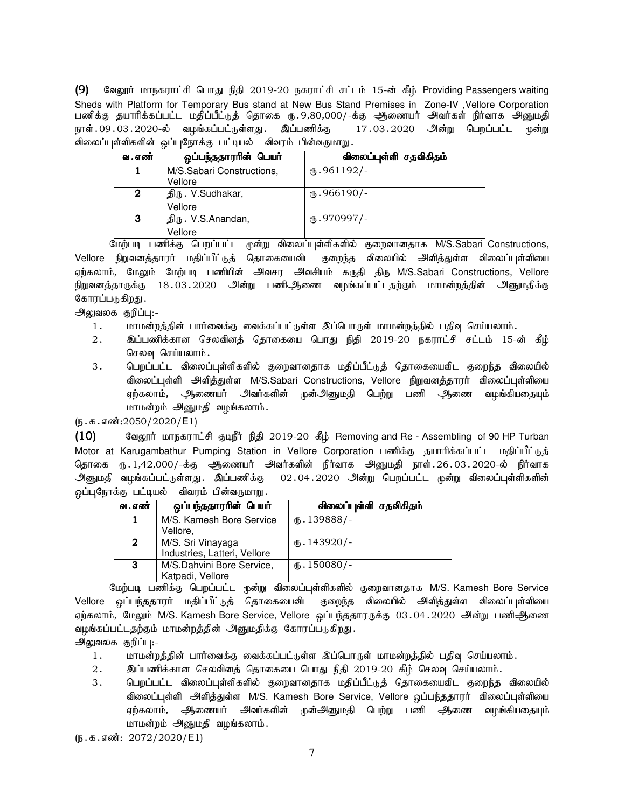(9) வேலூர் மாநகராட்சி பொது நிதி 2019-20 நகராட்சி சட்டம் 15-ன் கீழ் Providing Passengers waiting Sheds with Platform for Temporary Bus stand at New Bus Stand Premises in Zone-IV ,Vellore Corporation பணிக்கு தயாரிக்கப்பட்ட மதிப்பீட்டுத் தொகை ரு.9,80,000/-க்கு ஆணையர் அவர்கள் நிர்வாக அனுமதி<br>நாள்.09.03.2020-ல் வழங்கப்பட்டுள்ளது. இப்பணிக்கு 17.03.2020 அன்று பெறப்பட்ட முன்று நாள்.09.03.2020-ல் வழங்கப்பட்டுள்ளது. இப்பணிக்கு விலைப்புள்ளிகளின் ஒப்புநோக்கு பட்டியல் விவரம் பின்வருமாறு.

| வ . எண் | ஒப்பந்ததாரரின் பெயர்                 | விலைப்புள்ளி சதவிகிதம் |
|---------|--------------------------------------|------------------------|
|         | M/S.Sabari Constructions,<br>Vellore | $(D.961192)$ -         |
| 2       | திரு. V.Sudhakar,<br>Vellore         | $\mathbf{t}$ .966190/- |
| 3       | திரு. V.S.Anandan,<br>Vellore        | $(D.970997)$ -         |

மேற்படி பணிக்கு பெறப்பட்ட முன்று விலைப்புள்ளிகளில் குறைவானதாக M/S.Sabari Constructions, Vellore நிறுவனத்தாரர் மதிப்பீட்டுத் தொகையைவிட குறைந்த விலையில் அளித்துள்ள விலைப்புள்ளியை ஏற்கலாம், மேலும் மேற்படி பணியின் அவசர அவசியம் கருதி திரு M/S.Sabari Constructions, Vellore நிறுவனத்தாருக்கு 18.03.2020 அன்று பணிஅிணை வழங்கப்பட்டதற்கும் மாமன்றத்தின் அனுமதிக்கு கோரப்படுகி<u>றது</u> .

அலுவலக குறிப்பு:-

- 1. khr மன்றத்தின் பார்வைக்கு வைக்கப்பட்டுள்ள இப்பொருள் மாமன்றத்தில் பதிவு செய்யலாம்.
- 2. ng;gzpf;fhd brytpdj; bjhifia bghJ epjp 2019-20 efuhl;rp rl;lk; 15-d; fPH; செலவு செய்யலாம்.
- 3. பெறப்பட்ட விலைப்புள்ளிகளில் குறைவானதாக மதிப்பீட்டுத் தொகையைவிட குறைந்த விலையில் விலைப்புள்ளி அளித்துள்ள M/S.Sabari Constructions, Vellore நிறுவனத்தாரர் விலைப்புள்ளியை ஏற்கலாம், அிணையர் அவர்களின் முன்அனுமதி பெற்று பணி அணை வழங்கியதையும் மாமன்றம் அனுமதி வழங்கலாம்.

#### $(5.5.5.5\frac{1}{2050}/2020/E1)$

10) கேலூர் மாநகராட்சி குடிநீர் நிதி 2019-20 கீழ் Removing and Re - Assembling of 90 HP Turban Motor at Karugambathur Pumping Station in Vellore Corporation பணிக்கு தயாரிக்கப்பட்ட மதிப்பீட்டுத் தொகை ரு. 1,42,000/-க்கு ஆணையர் அவர்களின் நிர்வாக அனுமதி நாள். 26.03.2020-ல் நிர்வாக அனுமதி வழங்கப்பட்டுள்ளது. இப்பணிக்கு 02.04.2020 அன்று பெறப்பட்ட முன்று விலைப்புள்ளிகளின் ஒப்புநோக்கு பட்டியல் விவரம் பின்வருமாறு

| வ . எண் | ஒப்பந்ததாரரின் பெயர்                 | விலைப்புள்ளி சதவிகிதம்  |
|---------|--------------------------------------|-------------------------|
|         | M/S. Kamesh Bore Service<br>Vellore, | $\omega$ . 139888/-     |
|         |                                      |                         |
| 2       | M/S. Sri Vinayaga                    | $(B.143920)$ -          |
|         | Industries, Latteri, Vellore         |                         |
| 3       | M/S.Dahvini Bore Service,            | $\mathbf{L}$ . 150080/- |
|         | Katpadi, Vellore                     |                         |

மேற்படி பணிக்கு பெறப்பட்ட முன்று விலைப்புள்ளிகளில் குறைவானதாக M/S. Kamesh Bore Service Vellore ஒப்பந்ததாரர் மதிப்பீட்டுத் தொகையைவிட குறைந்த விலையில் அளித்துள்ள விலைப்புள்ளியை ஏற்கலாம், மேலும் M/S. Kamesh Bore Service, Vellore ஒப்பந்ததாரருக்கு 03.04.2020 அன்று பணிஆணை வழங்கப்பட்டதற்கும் மாமன்றத்தின் அனுமதிக்கு கோரப்படுகிறது.

அலுவலக குறிப்பு:-

- 1. khr மன்றத்தின் பார்வைக்கு வைக்கப்பட்டுள்ள இப்பொருள் மாமன்றத்தில் பதிவு செய்யலாம்.
- $2.$   $\;$  இப்பணிக்கான செலவினத் தொகையை பொது நிதி 2019-20 கீழ் செலவு செய்யலாம்.
- 3 . பெறப்பட்ட விலைப்புள்ளிகளில் குறைவானதாக மதிப்பீட்டுத் தொகையைவிட குறைந்த விலையில் விலைப்புள்ளி அிித்துள்ள M/S. Kamesh Bore Service, Vellore ஒப்பந்ததாரர் விலைப்புள்ளியை ஏற்கலாம், அிணையர் அவர்களின் முன்அனுமதி பெற்று பணி ஆணை வழங்கியதையும் மாமன்றம் அனுமதி வழங்கலாம்.

 $(n.5.5 \cdot m)^2$ : 2072/2020/E1)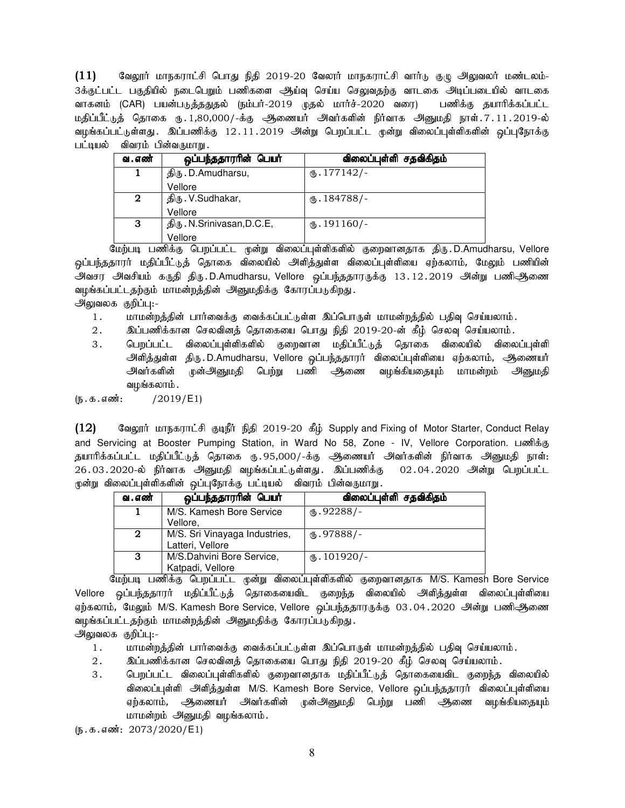$(11)$  Baலூர் மாநகராட்சி பொது நிதி 2019-20 வேலார் மாநகராட்சி வார்டு குழு அலுவலர் மண்டலம்-3க்குட்பட்ட பகுதியில் நடைபெறும் பணிகளை ஆய்வு செய்ய செலுவதற்கு வாடகை அடிப்படையில் வாடகை வாகனம் (CAR) பயன்படுத்ததுதல் (நம்பர்-2019 முதல் மார்ச்-2020 வரை) பணிக்கு தயாரிக்கப்பட்ட மதிப்பீட்டுத் தொகை ரூ.1,80,000/-க்கு ஆணையர் அவர்களின் நிர்வாக அனுமதி நாள்.7.11.2019-ல் வழங்கப்பட்டுள்ளது . இப்பணிக்கு 12.11.2019 அன்று பெறப்பட்ட முன்று விலைப்புள்ளிகளின் ஒப்புநோக்கு பட்டியல் விவரம் பின்வருமாறு.

| வ . எண் | ஒப்பந்ததாரரின் பெயர்       | விலைப்புள்ளி சதவிகிதம்  |
|---------|----------------------------|-------------------------|
|         | திரு. D.Amudharsu,         | $\omega$ . 177142/-     |
|         | Vellore                    |                         |
| 2       | திரு. V.Sudhakar,          | (ճ. 184788/-            |
|         | Vellore                    |                         |
| 3       | திரு. N.Srinivasan, D.C.E, | $\mathbf{L}$ . 191160/- |
|         | Vellore                    |                         |

மேற்படி பணிக்கு பெறப்பட்ட முன்று விலைப்புள்ளிகளில் குறைவானதாக திரு.D.Amudharsu, Vellore ஒப்பந்ததாரர் மதிப்பீட்டுத் தொகை விலையில் அிித்துள்ள விலைப்புள்ளியை ஏற்கலாம், மேலும் பணியின் அவசர அவசியம் கருதி திரு.D.Amudharsu, Vellore ஒப்பந்ததாரருக்கு 13.12.2019 அன்று பணிஆணை வழங்கப்பட்டதற்கும் மாமன்றத்தின் அனுமதிக்கு கோரப்படுகிறது.

அலுவலக குறிப்பு:-

- 1. khr மன்றத்தின் பார்வைக்கு வைக்கப்பட்டுள்ள இப்பொருள் மாமன்றத்தில் பதிவு செய்யலாம்.
- 2. இப்பணிக்கான செலவினத் தொகையை பொது நிதி 2019-20-ன் கீழ் செலவு செய்யலாம்.
- 3. பெறப்பட்ட விலைப்புள்ளிகளில் குறைவான மதிப்பீட்டுத் தொகை விலையில் விலைப்புள்ளி அி்த்துள்ள திரு.D.Amudharsu, Vellore ஒப்பந்ததாரர் விலைப்புள்ளியை ஏற்கலாம், ஆணையர் அவர்களின் முன்அனுமதி பெற்று பணி ஆணை வழங்கியதையும் மாமன்றம் அனுமதி வழங்கலாம்.

 $(5.5.5.5 \cdot \frac{1}{2019} / E1)$ 

(12) கேலூர் மாநகராட்சி குடிநீர் நிதி 2019-20 கீழ் Supply and Fixing of Motor Starter, Conduct Relay and Servicing at Booster Pumping Station, in Ward No 58, Zone - IV, Vellore Corporation. பணிக்கு தயாரிக்கப்பட்ட மதிப்பீட்டுத் தொகை ரூ.95,000/-க்கு ஆணையர் அவர்களின் நிர்வாக அனுமதி நாள்: 26.03.2020-ல் நிர்வாக அனுமதி வழங்கப்பட்டுள்ளது. இப்பணிக்கு 02.04.2020 அன்று பெறப்பட்ட முன்று விலைப்புள்ளிகளின் ஒப்புநோக்கு பட்டியல் விவரம் பின்வருமாறு

| வ . எண்      | ஒப்பந்ததாரரின் பெயர்                              | விலைப்புள்ளி சதவிகிதம் |
|--------------|---------------------------------------------------|------------------------|
|              | M/S. Kamesh Bore Service<br>Vellore,              | $M_{\rm b}$ .92288/-   |
| $\mathbf{2}$ | M/S. Sri Vinayaga Industries,<br>Latteri, Vellore | $_{66}.97888/-$        |
| 3            | M/S.Dahvini Bore Service,<br>Katpadi, Vellore     | $(B.101920)$ -         |

மேற்படி பணிக்கு பெறப்பட்ட முன்று விலைப்புள்ளிகளில் குறைவானதாக M/S. Kamesh Bore Service Vellore ஒப்பந்ததாரர் மதிப்பீட்டுத் தொகையைவிட குறைந்த விலையில் அிளித்துள்ள விலைப்புள்ளியை ஏற்கலாம், மேலும் M/S. Kamesh Bore Service, Vellore ஒப்பந்ததாரருக்கு 03.04.2020 அன்று பணிஆணை வழங்கப்பட்டதற்கும் மாமன்றத்தின் அனுமதிக்கு கோரப்படுகிறது.

அலுவலக குறிப்பு:-

- 1. khkd;wj;jpd; ghh;itf;F itf;fg;gl;Ls;s ng;bghUs; khkd;wj;jpy; gjpt[ bra;ayhk;.
- $2.$   $\qquad$  இப்பணிக்கான செலவினத் தொகையை பொது நிதி 2019-20 கீழ் செலவு செய்யலாம்.
- 3 . பெறப்பட்ட விலைப்புள்ளிகளில் குறைவானதாக மதிப்பீட்டுத் தொகையைவிட குறைந்த விலையில் விலைப்புள்ளி அளித்துள்ள M/S. Kamesh Bore Service, Vellore ஒப்பந்ததாரர் விலைப்புள்ளியை ஏற்கலாம், அிணையர் அவர்களின் முன்அனுமதி பெற்று பணி ஆணை வழங்கியதையும் மாமன்றம் அனுமதி வழங்கலாம்.

 $(5.5.5.5\frac{1}{2073}/2020$ /E1)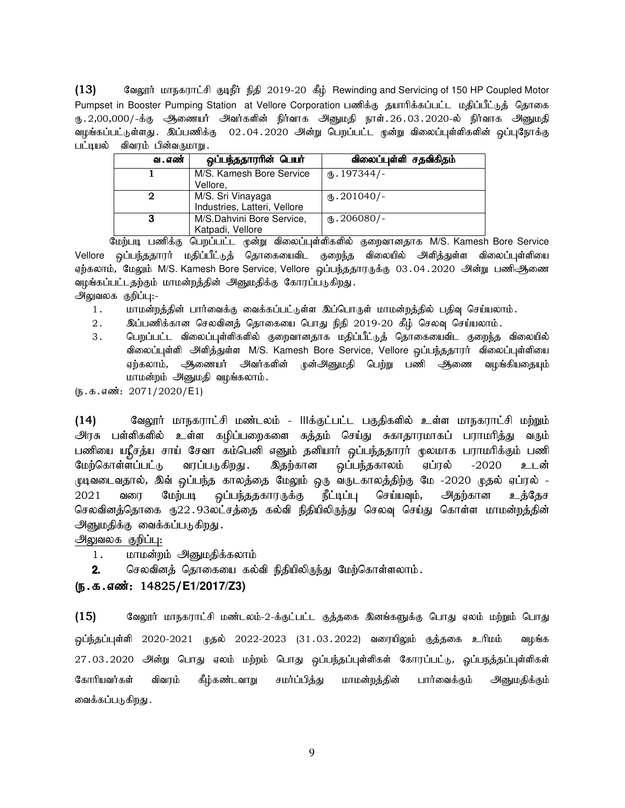(13) கேலூர் மாநகராட்சி குடிநீர் நிதி 2019-20 கீழ் Rewinding and Servicing of 150 HP Coupled Motor Pumpset in Booster Pumping Station at Vellore Corporation பணிக்கு தயாரிக்கப்பட்ட மதிப்பீட்டுத் தொகை ரு.2,00,000/-க்கு ஆணையர் அவர்களின் நிர்வாக அனுமதி நாள்.26.03.2020-ல் நிர்வாக அனுமதி வழங்கப்பட்டுள்ளது . இப்பணிக்கு 02 . 04 . 2020 அன்று பெறப்பட்ட முன்று விலைப்புள்ளிகளின் ஒப்புநோக்கு பட்டியல் விவரம் பின்வருமாறு.

| வ . எண் | ஒப்பந்ததாரரின் பெயர்         | விலைப்புள்ளி சதவிகிதம் |
|---------|------------------------------|------------------------|
|         | M/S. Kamesh Bore Service     | $(B.197344)$ -         |
|         | Vellore,                     |                        |
|         | M/S. Sri Vinayaga            | $(D.201040)$ -         |
|         | Industries, Latteri, Vellore |                        |
| з       | M/S.Dahvini Bore Service,    | $_{6}$ . 206080/-      |
|         | Katpadi, Vellore             |                        |

மேற்படி பணிக்கு பெறப்பட்ட முன்று விலைப்புள்ளிகளில் குறைவானதாக M/S. Kamesh Bore Service Vellore ஒப்பந்ததாரர் மதிப்பீட்டுத் தொகையைவிட குறைந்த விலையில் அிித்துள்ள விலைப்புள்ளியை ஏற்கலாம், மேலும் M/S. Kamesh Bore Service, Vellore ஒப்பந்ததாரருக்கு 03.04.2020 அன்று பணிஆணை வழங்கப்பட்டதற்கும் மாமன்றத்தின் அனுமதிக்கு கோரப்படுகிறது. அலுவலக குறிப்பு:-

1. khkd;wj;jpd; ghh;itf;F itf;fg;gl;Ls;s ng;bghUs; khkd;wj;jpy; gjpt[ bra;ayhk;.

- $2.$   $\qquad$  இப்பணிக்கான செலவினத் தொகையை பொது நிதி 2019-20 கீழ் செலவு செய்யலாம்.
- 3. பெறப்பட்ட விலைப்புள்ளிகளில் குறைவானதாக மதிப்பீட்டுத் தொகையைவிட குறைந்த விலையில் விலைப்புள்ளி அளித்துள்ள M/S. Kamesh Bore Service, Vellore ஒப்பந்ததாரர் விலைப்புள்ளியை ஏற்கலாம், அிணையர் அவர்களின் முன்அனுமதி பெற்று பணி ஆணை வழங்கியதையும் மாமன்றம் அனுமதி வழங்கலாம்.

 $(\mathfrak{g.}\mathfrak{s.}\mathfrak{s.}\mathfrak{s.}\mathfrak{so}$ ்: 2071/2020/E1)

(14) கௌலூர் மாநகராட்சி மண்டலம் - IIIக்குட்பட்ட பகுதிகளில் உள்ள மாநகராட்சி மற்றும் அரசு பள்ளிகளில் உள்ள கழிப்பறைகளை சுத்தம் செய்து சுகாதாரமாகப் பராமரித்து வரும் பணியை யு{ீசத்ய சாய் சேவா கம்பெனி எனும் தனியார் ஒப்பந்ததாரர் மூலமாக பராமரிக்கும் பணி மேற்கொள்ளப்பட்டு வரப்படுகிறது. இதற்கான ஒப்பந்தகாலம் ஏப்ரல் -2020 உடன் pுடிவடைவதால், இவ் ஒப்பந்த காலத்தை மேலும் ஒரு வருடகாலத்திற்கு மே -2020 முதல் ஏப்ரல் -2021 வரை மேற்படி ஒப்பந்ததகாரருக்கு நீட்டிப்பு செய்யவும், அதற்கான உத்தேச செலவினத்தொகை ரு22.93லட்சத்தை கல்வி நிதியிலிருந்து செலவு செய்து கொள்ள மாமன்றத்தின் அனுமதிக்கு வைக்கப்படுகிறது.

அலுவலக குறிப்பு:

- 1. மாமன்றம் அனுமதிக்கலாம்
- 2. செலவினத் தொகையை கல்வி நிதியிலிருந்து மேற்கொள்ளலாம்.

## (e.f.vz;: (e.f.vz;: e.f.vz;: 14825/**E1/2017/Z3)**

 $(15)$  Baggin; மாநகராட்சி மண்டலம்-2-க்குட்பட்ட குத்தகை இனங்களுக்கு பொது ஏலம் மற்றும் பொது ஒப்ந்தப்புள்ளி 2020-2021 முதல் 2022-2023 (31.03.2022) வரையிலும் குத்தகை உரிமம் வழங்க 27.03.2020 அன்று பொது ஏலம் மற்றம் பொது ஒப்பந்தப்புள்ளிகள் கோரப்பட்டு, ஓப்பநத்தப்புள்ளிகள் கோரியவர்கள் விவரம் கீழ்கண்டவாறு சமர்ப்பித்து மாமன்றத்தின் பார்வைக்கும் அனுமதிக்கும் வைக்கப்படுகிறது .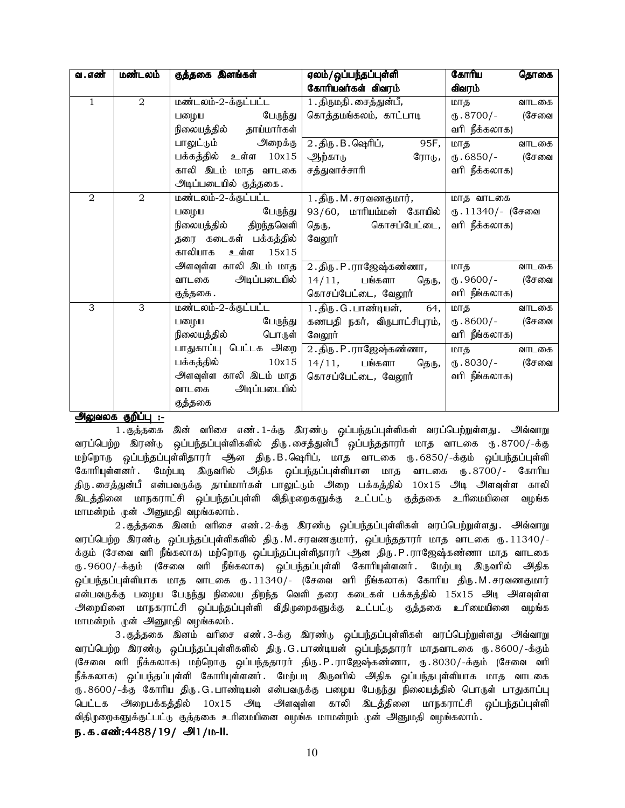| வ . எண்      | மண்டலம்        | குத்தகை இனங்கள்         | ஏலம்/ஒப்பந்தப்புள்ளி                | கோரிய<br>தொகை         |
|--------------|----------------|-------------------------|-------------------------------------|-----------------------|
|              |                |                         | கோரியவர்கள் விவரம்                  | விவரம்                |
| $\mathbf{1}$ | 2              | மண்டலம்-2-க்குட்பட்ட    | 1 . திருமதி . சைத்துன்பீ,           | மாத<br>வாடகை          |
|              |                | பழைய பேருந்து           | கொத்தமங்கலம், காட்பாடி              | (சேவை<br>ரு.8700/-    |
|              |                | நிலையத்தில் தாய்மார்கள் |                                     | வரி நீக்கலாக)         |
|              |                | பாலுட்டும் அறைக்கு      | 2.திரு.B. ஷெரிப்,<br>95F,           | மாத<br>வாடகை          |
|              |                | பக்கத்தில் உள்ள 10x15   | ஆற்காடு<br>ரோடு,                    | ரு. 6850/- (சேவை      |
|              |                | காலி இடம் மாத வாடகை     | சத்துவாச்சாரி                       | வரி நீக்கலாக)         |
|              |                | அடிப்படையில் குத்தகை.   |                                     |                       |
| 2            | $\overline{2}$ | மண்டலம்-2-க்குட்பட்ட    | 1 . திரு . M . சரவணகுமார் <i>,</i>  | மாத வாடகை             |
|              |                | பேருந்து<br>பழைய        | 93/60, மாரியம்மன் கோயில்            | ரு. 11340/- (சேவை     |
|              |                | நிலையத்தில் திறந்தவெளி  | தெரு, கொசப்பேட்டை,                  | வரி நீக்கலாக)         |
|              |                | தரை கடைகள் பக்கத்தில்   | வேலூர்                              |                       |
|              |                | காலியாக உள்ள 15x15      |                                     |                       |
|              |                | அளவுள்ள காலி இடம் மாத [ | 2 . திரு . P . ராஜேஷ்கண்ணா <i>,</i> | மாத<br>வாடகை          |
|              |                | வாடகை அடிப்படையில்      | 14/11, பங்களா<br>தெரு,              | (சேவை<br>ரு.9600/-    |
|              |                | குத்தகை .               | கொசப்பேட்டை, வேலூர்                 | வரி நீங்கலாக)         |
| 3            | 3              | மண்டலம்-2-க்குட்பட்ட    | 1.திரு. G. பாண்டியன், 64,           | மாத <u>க</u><br>வாடகை |
|              |                | பேருந்து<br>பனழய        | கணபதி நகர், விருபாட்சிபுரம்,        | ரு. 8600/- (சேவை      |
|              |                | நிலையத்தில் பொருள்      | வேலூர்                              | வரி நீங்கலாக)         |
|              |                | பாதுகாப்பு பெட்டக அறை   | 2 . திரு . P . ராஜேஷ்கண்ணா <i>,</i> | மாத<br>வாடகை          |
|              |                | பக்கத்தில் 10x15        | 14/11, பங்களா<br>தெரு,              | (சேவை<br>ரு. 8030/-   |
|              |                | அளவுள்ள காலி இடம் மாத   | கொசப்பேட்டை, வேலூர்                 | வரி நீங்கலாக)         |
|              |                | வாடகை அடிப்படையில்      |                                     |                       |
|              |                | குத்தகை                 |                                     |                       |

<u>அலுவலக குறிப்பு :-</u>

1.குத்தகை இன் வரிசை எண்.1-க்கு இரண்டு ஒப்பந்தப்புள்ளிகள் வரப்பெற்றுள்ளது. அவ்வாறு வரப்பெற்ற இரண்டு ஒப்பந்தப்புள்ளிகளில் திரு.சைத்துன்பீ ஒப்பந்ததாரர் மாத வாடகை ரு.8700/-க்கு மற்றொரு ஒப்பந்தப்புள்ளிதாரர் ஆன திரு.B.ஷெரிப், மாத வாடகை ரு.6850/-க்கும் ஒப்பந்தப்புள்ளி கோரியுள்ளனர். மேற்படி இருவரில் அதிக ஒப்பந்தப்புள்ளியான மாத வாடகை ரு.8700/- கோரிய திரு.சைத்துன்பீ என்பவருக்கு தாய்மார்கள் பாலுட்டும் அறை பக்கத்தில் 10x15 அடி அளவுள்ள காலி <u>இடத்தி</u>னை மாநகராட்சி ஒப்பந்தப்புள்ளி விதிமுறைகளுக்கு உட்பட்டு குத்தகை உரிமையினை வழங்க மாமன்றம் முன் அனுமதி வழங்கலாம்.

2. குத்தகை இனம் வரிசை எண். 2-க்கு இரண்டு ஒப்பந்தப்புள்ளிகள் வரப்பெற்றுள்ளது. அவ்வாறு வரப்பெற்ற இரண்டு ஒப்பந்தப்புள்ளிகளில் திரு.M.சரவணகுமார், ஒப்பந்ததாரர் மாத வாடகை ரு.11340/-க்கும் (சேவை வரி நீங்கலாக) மற்றொரு ஒப்பந்தப்புள்ளிதாரர் ஆன திரு.P.ராஜேஷ்கண்ணா மாத வாடகை ரு 9600/-க்கும் (சேவை வரி நீங்கலாக) ஒப்பந்தப்புள்ளி கோரியுள்ளனர் .மேற்படி இருவரில் அதிக <u>ஒ</u>ப்பந்தப்புள்ளியாக மாத வாடகை ரு.11340/- (சேவை வரி நீங்கலாக) கோரிய திரு.M.சரவணகுமார் என்பவருக்கு பழைய பேருந்து நிலைய திறந்த வெளி தரை கடைகள் பக்கத்தில் 15x15 அடி அளவுள்ள அறையினை மாநகராட்சி ஒப்பந்தப்புள்ளி விதிமுறைகளுக்கு உட்பட்டு குத்தகை உரிமையினை வழங்க மாமன்றம் முன் அனுமதி வழங்கலம்.

3. குத்தகை இனம் வரிசை எண். 3-க்கு இரண்டு ஒப்பந்தப்புள்ளிகள் வரப்பெற்றுள்ளது அவ்வாறு வரப்பெற்ற இரண்டு ஒப்பந்தப்புள்ளிகளில் திரு.G.பாண்டியன் ஒப்பந்ததாரர் மாதவாடகை ரு.8600/-க்கும் (சேவை வரி நீக்கலாக) மற்றொரு ஒப்பந்ததாரர் திரு.P.ராஜேஷ்கண்ணா, ரு.8030/-க்கும் (சேவை வரி நீக்கலாக) ஒப்பந்தப்புள்ளி கோரியுள்ளனர். மேற்படி இருவரில் அதிக ஒப்பந்தபுள்ளியாக மாத வாடகை ரு 8600/-க்கு கோரிய திரு G பாண்டியன் என்பவருக்கு பழைய பேருந்து நிலையத்தில் பொருள் பாதுகாப்பு பெட்டக அறைபக்கத்தில் 10x15 அடி அளவுள்ள காலி இடத்தினை மாநகராட்சி ஒப்பந்தப்புள்ளி விதிமுறைகளுக்குட்பட்டு குத்தகை உரிமையினை வழங்க மாமன்றம் முன் அனுமதி வழங்கலாம்.

ந.க.எண்:4488/19/ அ1/ம-II.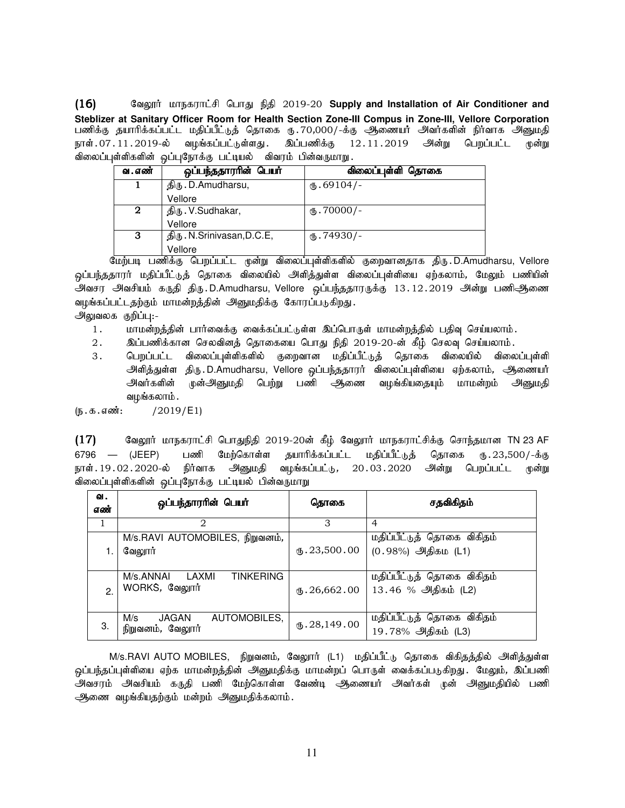16) கேலூர் மாநகராட்சி பொது நிதி 2019-20 Supply and Installation of Air Conditioner and **Steblizer at Sanitary Officer Room for Health Section Zone-III Compus in Zone-III, Vellore Corporation** பணிக்கு தயாரிக்கப்பட்ட மதிப்பீட்டுத் தொகை ரு.70,000/-க்கு ஆணையா அவா்களின் நிா்வாக அனுமதி நாள். 07. 11. 2019-ல் வழங்கப்பட்டுள்ளது. இப்பணிக்கு 12 . 11. 2019 அன்று பெறப்பட்ட முன்று விலைப்புள்ளிகளின் ஒப்புநோக்கு பட்டியல் விவரம் பின்வருமாறு.

| வ . எண் | ஒப்பந்ததாரரின் பெயர்       | விலைப்புள்ளி தொகை   |
|---------|----------------------------|---------------------|
|         | திரு. D.Amudharsu,         | $\text{I}$ .69104/- |
|         | Vellore                    |                     |
| 2       | திரு. V.Sudhakar,          | $(D.70000/-$        |
|         | Vellore                    |                     |
| 3       | திரு. N.Srinivasan, D.C.E, | $\text{I}$ .74930/- |
|         | Vellore                    |                     |

மேற்படி பணிக்கு பெறப்பட்ட முன்று விலைப்புள்ளிகளில் குறைவானதாக திரு.D.Amudharsu, Vellore <u>ஒ</u>ப்பந்ததாரர் மதிப்பீட்டுத் தொகை விலையில் அளித்துள்ள விலைப்புள்ளியை ஏற்கலாம், மே<u>லு</u>ம் பணியின் அவசர அவசியம் கருதி திரு.D.Amudharsu, Vellore ஒப்பந்ததாரருக்கு 13.12.2019 அன்று பணிஆணை வழங்கப்பட்டதற்கும் மாமன்றத்தின் அனுமதிக்கு கோரப்படுகிறது.

அலுவலக குறிப்பு:-

- 1. மாமன்றத்தின் பார்வைக்கு வைக்கப்பட்டுள்ள இப்பொருள் மாமன்றத்தில் பதிவு செய்யலாம்.
- 2. இப்பணிக்கான செலவினத் தொகையை பொது நிதி 2019-20-ன் கீழ் செலவு செய்யலாம்.
- 3 . பெறப்பட்ட விலைப்புள்ளிகளில் குறைவான மதிப்பீட்டுத் தொகை விலையில் விலைப்புள்ளி அளித்துள்ள திரு.D.Amudharsu, Vellore ஒப்பந்ததாரர் விலைப்புள்ளியை ஏற்கலாம், ஆணையர் அவர்களின் முன்அனுமதி பெற்று பணி ஆணை வழங்கியதையும் மாமன்றம் அனுமதி வழங்கலாம்.

 $(I_5 \cdot \text{t} \cdot \text{t} \cdot \text{t} \cdot \text{t})$  / 2019/E1)

 $(17)$  Bagmi மாநகராட்சி பொதுநிதி 2019-20ன் கீழ் வேலுார் மாநகராட்சிக்கு சொந்தமான TN 23 AF 6796 — (JEEP) பணி மேற்கொள்ள தயாரிக்கப்பட்ட மதிப்பீட்டுத் தொகை ரு.23,500/-க்கு நாள். 19.02. 2020-ல் நிர்வாக அனுமதி வழங்கப்பட்டு, 20.03. 2020 அன்று பெறப்பட்ட முன்று விலைப்புள்ளிகளின் ஒப்புநோக்கு பட்டியல் பின்வருமாறு

| ഖ.<br>எண்      | ஒப்பந்தாரரின் பெயர்                                     | தொகை                     | சதவிகிதம்                                             |
|----------------|---------------------------------------------------------|--------------------------|-------------------------------------------------------|
| 1              | 2                                                       | 3                        | 4                                                     |
|                | M/s.RAVI AUTOMOBILES, நிறுவனம்,<br>வேலூர்               | $\mathbf{t}$ . 23,500.00 | மதிப்பீட்டுத் தொகை விகிதம்<br>$(0.98\%)$ அதிகம $(L1)$ |
| $\mathfrak{p}$ | <b>TINKERING</b><br>M/s.ANNAI<br>LAXMI<br>WORKS, வேலூர் | $\mathbf{t}$ . 26,662.00 | மதிப்பீட்டுத் தொகை விகிதம்<br>13.46 % அதிகம் (L2)     |
| З.             | AUTOMOBILES,<br>M/s<br>JAGAN<br>நிறுவனம், வேலூர்        | $\times$ . 28,149.00     | மதிப்பீட்டுத் தொகை விகிதம்<br>19.78% அதிகம் (L3)      |

M/s.RAVI AUTO MOBILES, நிறுவனம், வேலூர் (L1) மதிப்பீட்டு தொகை விகிதத்தில் அளித்துள்ள .<br>ஒப்பந்தப்புள்ளியை ஏற்க மாமன்றத்தின் அனுமதிக்கு மாமன்றப் பொருள் வைக்கப்படுகிறது. மேலும், இப்பணி .<br>அவசரம் அவசியம் கருதி பணி மேற்கொள்ள வேண்டி ஆணையர் அவர்கள் முன் அனுமதியில் பணி ஆணை வழங்கியதற்கும் மன்றம் அனுமதிக்கலாம்.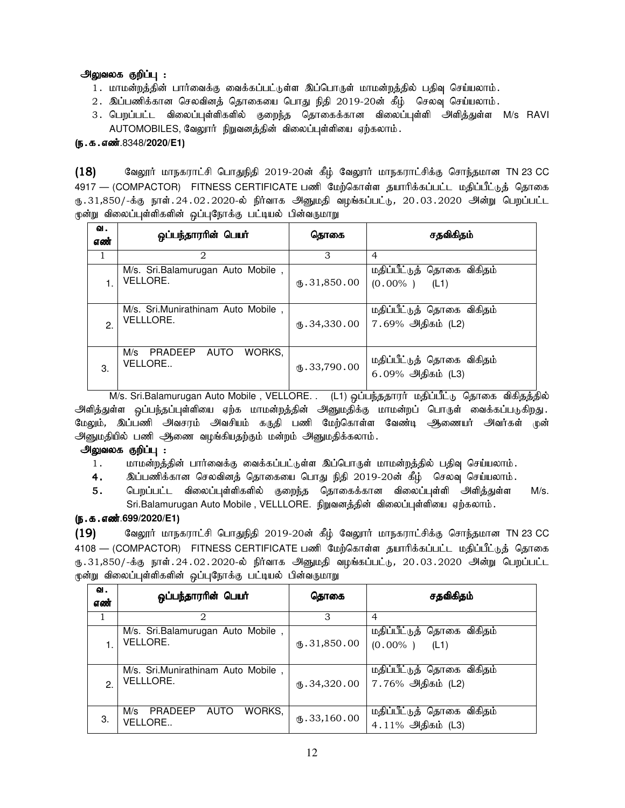## அலுவலக குறிப்பு :

- 1. மாமன்றத்தின் பார்வைக்கு வைக்கப்பட்டுள்ள இப்பொருள் மாமன்றத்தில் பதிவு செய்யலாம்.
- 2. இப்பணிக்கான செலவினத் தொகையை பொது நிதி 2019-20ன் கீழ் செலவு செய்யலாம்.
- 3. பெறப்பட்ட விலைப்புள்ளிகளில் குறைந்த தொகைக்கான விலைப்புள்ளி அளித்துள்ள M/s RAVI AUTOMOBILES, வேலூர் நிறுவனத்தின் விலைப்புள்ளியை ஏற்கலாம்.

## (**ந. க. எண்**.8348/**2020**/E1)

 $(18)$  Bagmi மாநகராட்சி பொதுநிதி 2019-20ன் கீழ் வேலூர் மாநகராட்சிக்கு சொந்தமான TN 23 CC 4917 — (COMPACTOR) FITNESS CERTIFICATE பணி மேற்கொள்ள தயாரிக்கப்பட்ட மதிப்பீட்டுத் தொகை ரு.31,850/-க்கு நாள்.24.02.2020-ல் நிர்வாக அனுமதி வழங்கப்பட்டு, 20.03.2020 அன்று பெறப்பட்ட முன்று விலைப்புள்ளிகளின் ஒப்புநோக்கு பட்டியல் பின்வருமாறு

| ഖ.<br>எண் | ஒப்பந்தாரரின் பெயர்                                | தொகை                  | சதவிகிதம்                                          |
|-----------|----------------------------------------------------|-----------------------|----------------------------------------------------|
| 1         | 2                                                  | 3                     | $\overline{4}$                                     |
|           | M/s. Sri.Balamurugan Auto Mobile,<br>VELLORE.      | m.31,850.00           | மதிப்பீட்டுத் தொகை விகிதம்<br>$(0.00\%$ )<br>(L1)  |
| 2.        | M/s. Sri.Munirathinam Auto Mobile,<br>VELLLORE.    | ն.34,330.00           | மதிப்பீட்டுத் தொகை விகிதம்<br>7.69%  அதிகம்  (L2)  |
| 3.        | M/s<br>WORKS.<br>PRADEEP<br>AUTO<br><b>VELLORE</b> | $\text{I}$ .33,790.00 | மதிப்பீட்டுத் தொகை விகிதம்<br>$6.09\%$ அதிகம் (L3) |

M/s. Sri.Balamurugan Auto Mobile, VELLORE. . (L1) ஒப்பந்ததாரர் மதிப்பீட்டு தொகை விகிதத்தில் .<br>அளித்துள்ள ஒப்பந்தப்புள்ளியை ஏற்க மாமன்றத்தின் அனுமதிக்கு மாமன்றப் பொருள் வைக்கப்படுகிறது. மேலும், இப்பணி அவசரம் அவசியம் கருதி பணி மேற்கொள்ள வேண்டி ஆணையர் அவர்கள் முன் அனுமதியில் பணி ஆணை வழங்கியதற்கும் மன்றம் அனுமதிக்கலாம்.

## <u>அலுவலக குறிப்பு :</u>

- 1. khkd;wj;jpd; ghh;itf;F itf;fg;gl;Ls;s ng;bghUs; khkd;wj;jpy; gjpt[ bra;ayhk;.
- 4. ng;gzpf;fhd brytpdj; bjhifia bghJ epjp 2019-20d; fPH; bryt[ bra;ayhk;.
- **5.** பெறப்பட்ட விலைப்புள்ளிகளில் குறைந்த தொகைக்கான விலைப்புள்ளி அளித்துள்ள M/s. Sri.Balamurugan Auto Mobile, VELLLORE. நிறுவனத்தின் விலைப்புள்ளியை ஏற்கலாம்.

## (e.f.vz;.**699/2020/E1**)

 $(19)$  Bagyார் மாநகராட்சி பொதுநிதி 2019-20ன் கீழ் வேலூர் மாநகராட்சிக்கு சொந்தமான TN 23 CC 4108 — (COMPACTOR) FITNESS CERTIFICATE பணி மேற்கொள்ள தயாரிக்கப்பட்ட மதிப்பீட்டுத் தொகை ரு.31,850/-க்கு நாள்.24.02.2020-ல் நிர்வாக அனுமதி வழங்கப்பட்டு, 20.03.2020 அன்று பெறப்பட்ட முன்று விலைப்புள்ளிகளின் ஒப்புநோக்கு பட்டியல் பின்வருமாறு

| வ.<br>எண்     | ஒப்பந்தாரரின் பெயர்                                    | தொகை                    | சதவிகிதம்                                                                |
|---------------|--------------------------------------------------------|-------------------------|--------------------------------------------------------------------------|
|               | 2                                                      | 3                       | $\overline{4}$                                                           |
|               | M/s. Sri.Balamurugan Auto Mobile,<br><b>VELLORE.</b>   | $\times$ 31,850.00      | மதிப்பீட்டுத் தொகை விகிதம்<br>$(0.00\%$ )<br>(L1)                        |
| $\mathcal{P}$ | M/s. Sri.Munirathinam Auto Mobile,<br><b>VELLLORE.</b> |                         | மதிப்பீட்டுத் தொகை விகிதம்<br>$\mathfrak{g}.34,320.00$ 7.76% அதிகம் (L2) |
| 3.            | WORKS.<br>PRADEEP<br>M/s<br>AUTO<br><b>VELLORE</b>     | $\mathbf{t}$ .33,160.00 | மதிப்பீட்டுத் தொகை விகிதம்<br>4.11% அதிகம் (L3)                          |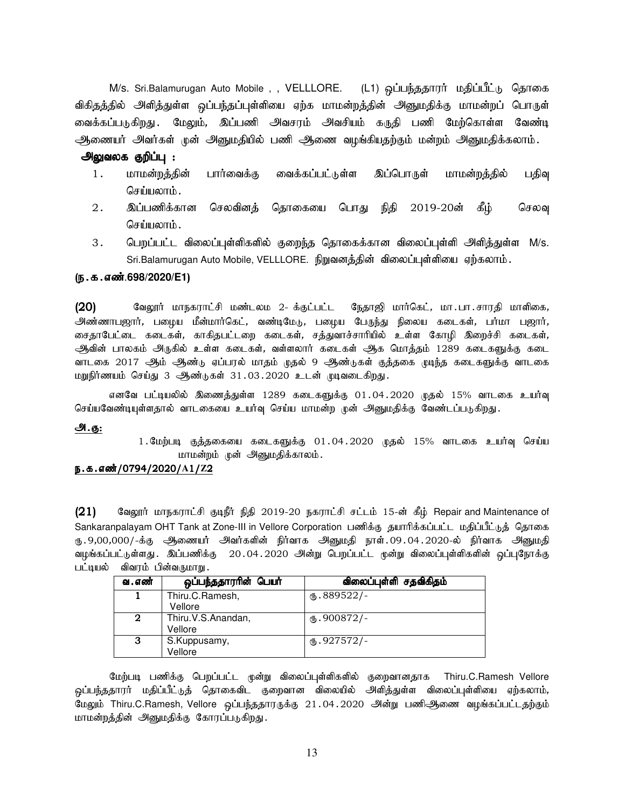M/s. Sri.Balamurugan Auto Mobile , , VELLLORE. (L1) ஒப்பந்ததாரர் மதிப்பீட்டு தொகை விகிதத்தில் அளித்துள்ள ஒப்பந்தப்புள்ளியை ஏற்க மாமன்றத்தின் அனுமதிக்கு மாமன்றப் பொருள் வைக்கப்படுகிறது .மேலும், இப்பணி அவசரம் அவசியம் கருதி பணி மேற்கொள்ள வேண்டி அணையர் அவர்கள் முன் அனுமதியில் பணி அணை வழங்கியதற்கும் மன்றம் அனுமதிக்கலாம்.

## அலுவலக குறிப்பு :

- 1. மாமன்றத்தின் பார்வைக்கு வைக்கப்பட்டுள்ள இப்பொருள் மாமன்றத்தில் பதிவு செய்யலாம் $\,$ .
- 2 . இப்பணிக்கான செலவினத் தொகையை பொது நிதி 2019-20ன் கீழ் செலவு செய்யலாம்.
- 3 . பெறப்பட்ட விலைப்புள்ளிகளில் குறைந்த தொகைக்கான விலைப்புள்ளி அளித்துள்ள M/s. Sri.Balamurugan Auto Mobile, VELLLORE. நிறுவனத்தின் விலைப்புள்ளியை ஏற்கலாம்.

#### (ந.க.எண்.698/2020/E1)

 $(20)$  வேலூர் மாநகராட்சி மண்டலம 2- க்குட்பட்ட நேதாஜி மார்கெட், மா $\,$ .பா $\,$ .சாரதி மாளிகை, அண்ணாபஜார், பழைய மீன்மார்கெட், வண்டிமேடு,, பழைய பேருந்து நிலைய கடைகள், பர்மா பஜார், சைதாபேட்டை கடைகள், காகிதபட்டறை கடைகள், சத்துவாச்சாரியில் உள்ள கோழி இறைச்சி கடைகள், ஆவின் பாலகம் அருகில் உள்ள கடைகள், வள்ளலார் கடைகள் ஆக மொத்தம் 1289 கடைகளுக்கு கடை வாடகை 2017 ஆம் ஆண்டு ஏப்பரல் மாதம் முதல் 9 ஆண்டுகள் குத்தகை முடிந்த கடைகளுக்கு வாடகை மறுநிர்ணயம் செய்து 3 ஆண்டுகள் 31.03.2020 உடன் முடிவடைகிறது.

எனவே பட்டியலில் இணைத்துள்ள 1289 கடைகளுக்கு 01.04.2020 முதல் 15% வாடகை உயர்வு செய்யவேண்டியுள்ளதால் வாடகையை உயர்வு செய்ய மாமன்ற முன் அனுமதிக்கு வேண்டப்படுகிறது.

#### அ.கு:

 $1.$ மேற்படி குத்தகையை கடைகளுக்கு  $01.04.2020$  முதல்  $15\%$  வாடகை உயர்வு செய்ய மாமன்றம் முன் அனுமதிக்காலம்.

## e.f.vz;/0794/2020/**A**1/**Z**2

 $(21)$  Bagy Trip Bangs of Four Foedphi; நிதி 2019-20 நகராட்சி சட்டம் 15-ன் கீழ் Repair and Maintenance of Sankaranpalayam OHT Tank at Zone-III in Vellore Corporation பணிக்கு தயாரிக்கப்பட்ட மதிப்பீட்டுத் தொகை ரு 9,00,000/-க்கு அணையர் அவர்களின் நிர்வாக அனுமதி நாள்.09.04.2020-ல் நிர்வாக அனுமதி வழங்கப்பட்டுள்ளது . இப்பணிக்கு 20.04.2020 அன்று பெறப்பட்ட முன்று விலைப்புள்ளிகளின் ஒப்புநோக்கு பட்டியல் விவரம் பின்வருமாறு.

| வ . எண்     | ஒப்பந்ததாரரின் பெயர்          | விலைப்புள்ளி சதவிகிதம் |
|-------------|-------------------------------|------------------------|
|             | Thiru.C.Ramesh,<br>Vellore    | $M_{\rm b}$ .889522/-  |
| $\mathbf 2$ | Thiru.V.S.Anandan,<br>Vellore | $\omega$ .900872/-     |
| 3           | S.Kuppusamy,<br>Vellore       | $_{66}.927572/-$       |

மேற்படி பணிக்கு பெறப்பட்ட முன்று விலைப்புள்ளிகளில் குறைவானதாக Thiru.C.Ramesh Vellore <u>ஒ</u>ப்பந்ததாரர் மதிப்பீட்டுத் தொகைவிட குறைவான விலையில் அளித்துள்ள விலைப்புள்ளியை ஏற்கலாம், மேலும் Thiru.C.Ramesh, Vellore ஒப்பந்ததாரருக்கு 21.04.2020 அன்று பணிஅுணை வழங்கப்பட்டதற்கும் மாமன்றத்தின் அனுமதிக்கு கோரப்படுகிறது.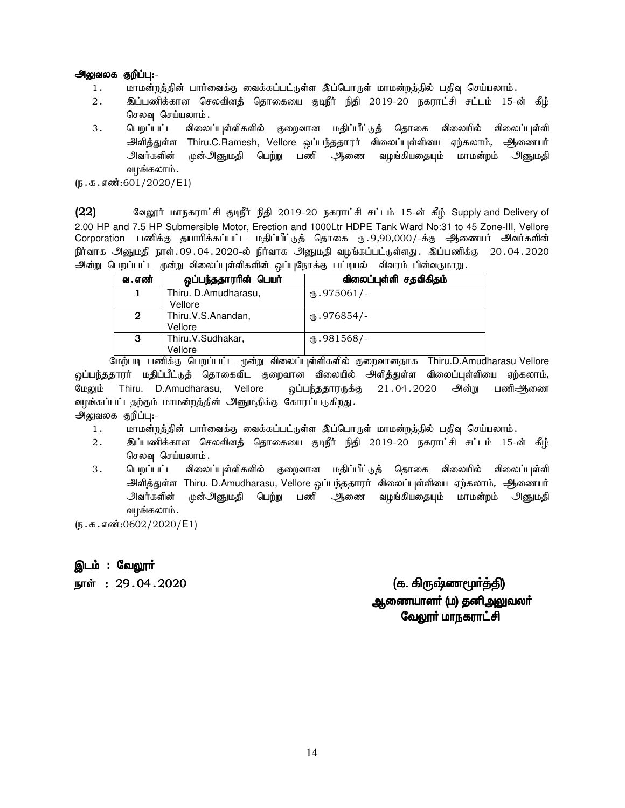## அலுவலக குறிப்பு:-

- 1. khr மன்றத்தின் பார்வைக்கு வைக்கப்பட்டுள்ள இப்பொருள் மாமன்றத்தில் பதிவு செய்யலாம்.
- 2. இப்பணிக்கான செலவினத் தொகையை குடிநீர் நிதி 2019-20 நகராட்சி சட்டம் 15-ன் கீழ் செலவு செய்யலாம்.
- 3 . பெறப்பட்ட விலைப்புள்ளிகளில் குறைவான மதிப்பீட்டுத் தொகை விலையில் விலைப்புள்ளி அளித்துள்ள Thiru.C.Ramesh, Vellore ஒப்பந்ததாரர் விலைப்புள்ளியை ஏற்கலாம், ஆணையர் அவர்களின் முன்அனுமதி பெற்று பணி அணை வழங்கியதையும் மாமன்றம் அனுமதி வழங்கலாம்.

 $(5.5.5.5\cdot\frac{1}{1000} \cdot 601/2020/E1)$ 

(22) குவலூர் மாநகராட்சி குடிநீர் நிதி 2019-20 நகராட்சி சட்டம் 15-ன் கீழ் Supply and Delivery of 2.00 HP and 7.5 HP Submersible Motor, Erection and 1000Ltr HDPE Tank Ward No:31 to 45 Zone-III, Vellore Corporation பணிக்கு தயாரிக்கப்பட்ட மதிப்பீட்டுத் தொகை ரு.9,90,000/-க்கு ஆணையர் அவர்களின் நிர்வாக அனுமதி நாள்.09.04.2020-ல் நிர்வாக அனுமதி வழங்கப்பட்டுள்ளது. இப்பணிக்கு 20.04.2020 அன்று பெறப்பட்ட முன்று விலைப்புள்ளிகளின் ஒப்புநோக்கு பட்டியல் விவரம் பின்வருமாறு.

| வ . எண் | ஒப்பந்ததாரரின் பெயர்            | விலைப்புள்ளி சதவிகிதம் |
|---------|---------------------------------|------------------------|
|         | Thiru. D.Amudharasu,<br>Vellore | $M_{\rm b}$ .975061/-  |
| 2       | Thiru.V.S.Anandan,<br>Vellore   | $\omega$ .976854/-     |
| 3       | Thiru.V.Sudhakar,<br>Vellore    | $\omega$ .981568/-     |

மேற்படி பணிக்கு பெறப்பட்ட முன்று விலைப்புள்ளிகளில் குறைவானதாக Thiru.D.Amudharasu Vellore <u>ஒ</u>ப்பந்ததாரர் மதிப்பீட்டுத் தொகைவிட குறைவான விலையில் அளித்துள்ள விலைப்புள்ளியை ஏற்கலாம், மேலும் Thiru. D.Amudharasu, Vellore ஒப்பந்ததாரருக்கு 21 $.04.2020$  அன்று பணிஆணை வழங்கப்பட்டதற்கும் மாமன்றத்தின் அனுமதிக்கு கோரப்படுகிறது. அலுவலக குறிப்பு:-

- 1. khr மன்றத்தின் பார்வைக்கு வைக்கப்பட்டுள்ள இப்பொருள் மாமன்றத்தில் பதிவு செய்யலாம்.
- 2 . இப்பணிக்கான செலவினத் தொகையை குடிநீர் நிதி 2019-20 நகராட்சி சட்டம் 15-ன் கீழ் செலவு செய்யலாம்.
- 3 . பெறப்பட்ட விலைப்புள்ளிகளில் குறைவான மதிப்பீட்டுத் தொகை விலையில் விலைப்புள்ளி அளித்துள்ள Thiru. D.Amudharasu, Vellore ஒப்பந்ததாரர் விலைப்புள்ளியை ஏற்கலாம், ஆணையர் அவர்களின் முன்அனுமதி பெற்று பணி ஆணை வழங்கியதையும் மாமன்றம் அனுமதி வமங்கலாம்.

 $(n.5.5.5 \text{ s})$ :0602/2020/E1)

<u>இ</u>டம் : வேலூா்

ehŸ :29.04.2020 (f. »UZz\_®¤Â) f. »UZz\_®¤Â)

<u>ஆணையாளா் (ம) தனிஅலுவலா்</u> வேலூா் மாநகராட்சி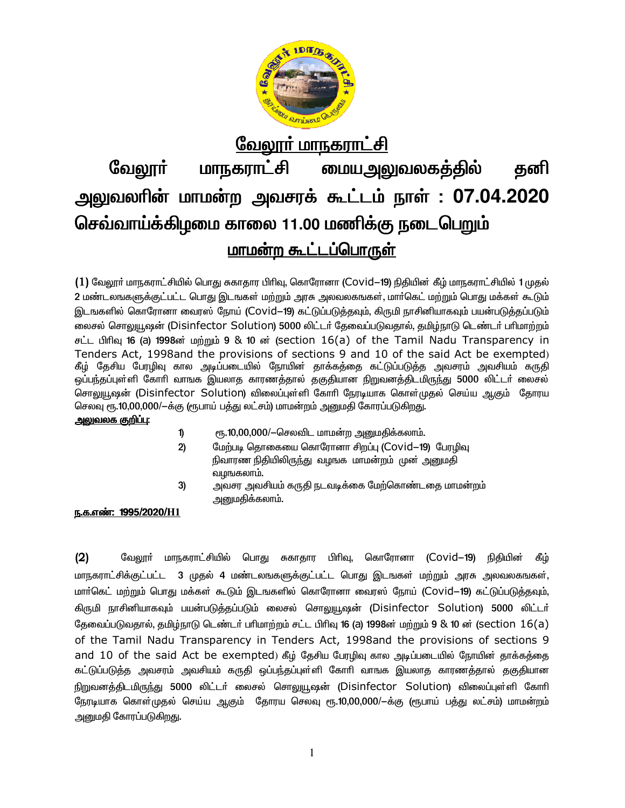

## வே<u>லார் மாநகராட்சி</u> மாநகராட்சி <u>மையஅலுவலகத்தில்</u> வேலூா் தனி அலுவலரின் மாமன்ற அவசரக் கூட்டம் நாள் : 07.04.2020 செவ்வாய்க்கிமமை காலை 11.00 மணிக்கு நடைபெறும் <u>மாமன்ற கூட்டப்பொருள்</u>

(1) வேலூா் மாநகராட்சியில் பொது சுகாதார பிாிவு, கொரோனா (Covid—19) நிதியின் கீழ் மாநகராட்சியில் 1 முதல் 2 மண்டலஙகளுக்குட்பட்ட பொது இடஙகள் மற்றும் அரசு அலவலகஙகள், மார்கெட் மற்றும் பொது மக்கள் கூடும் இடஙகளில் கொரோனா வைரஸ் நோய் (Covid–19) கட்டுப்படுத்தவும், கிருமி நாசினியாகவும் பயன்படுத்தப்படும் லைசல் சொலுயூஷன் (Disinfector Solution) 5000 லிட்டர் தேவைப்படுவதால், தமிழ்நாடு டெண்டர் பரிமாற்றம் சட்ட பிரிவு 16 (a) 1998ன் மற்றும் 9 & 10 ன் (section 16(a) of the Tamil Nadu Transparency in Tenders Act, 1998and the provisions of sections 9 and 10 of the said Act be exempted) கீழ் தேசிய பேரழிவு கால அடிப்படையில் நோயின் தாக்கத்தை கட்டுப்படுத்த அவசரம் அவசியம் கருதி ஒப்பந்தப்புள்ளி கோரி வாஙக இயலாத காரணத்தால் தகுதியான நிறுவனத்திடமிருந்து 5000 லிட்டா் லைசல் சொலுயூஷன் (Disinfector Solution) விலைப்புள்ளி கோரி நேரடியாக கொள்முதல் செய்ய ஆகும் தோரய செலவு ரூ.10,00,000/—க்கு (ரூபாய் பத்து லட்சம்) மாமன்றம் அனுமதி கோரப்படுகிறது.

## <u>அலுவலக குறிப்பு:</u>

ரூ.10,00,000/-செலவிட மாமன்ற அனுமதிக்கலாம். 1)

- $2)$ மேற்படி தொகையை கொரோனா சிறப்பு (Covid–19) பேரழிவு நிவாரண நிதியிலிருந்து வழஙக மாமன்றம் முன் அனுமதி வமஙகலாம்.
- $3)$ அவசர அவசியம் கருதி நடவடிக்கை மேற்கொண்டதை மாமன்றம் அனுமதிக்கலாம்.

## ந.க.எண்: 1995/2020/H1

 $(2)$ வேலாா் மாநகாாட்சியில் பொகு சுகாகார பிரிவு, கொரோனா (Covid—19) நிகியின் கீம் மாநகராட்சிக்குட்பட்ட 3 முதல் 4 மண்டலஙகளுக்குட்பட்ட பொது இடஙகள் மற்றும் அரசு அலவலகஙகள், மார்கெட் மற்றும் பொது மக்கள் கூடும் இடஙகளில் கொரோனா வைரஸ் நோய் (Covid—19) கட்டுப்படுத்தவும், கிருமி நாசினியாகவும் பயன்படுத்தப்படும் லைசல் சொலுயூஷன் (Disinfector Solution) 5000 லிட்டர் கேவைப்படுவகால், கமிம்நாடு டெண்டர் பரிமாற்றம் சட்ட பிரிவு 16 (a) 1998ன் மற்றும் 9 & 10 ன் (section  $16$ (a) of the Tamil Nadu Transparency in Tenders Act, 1998and the provisions of sections 9 and 10 of the said Act be exempted) கீழ் தேசிய பேரழிவு கால அடிப்படையில் நோயின் தாக்கத்தை கட்டுப்படுத்த அவசரம் அவசியம் கருதி ஒப்பந்தப்புள்ளி கோரி வாஙக இயலாத காரணத்தால் தகுதியான நிறுவனத்திடமிருந்து 5000 லிட்டர் லைசல் சொலுயூஷன் (Disinfector Solution) விலைப்புள்ளி கோரி நேரடியாக கொள்முதல் செய்ய ஆகும் தோரய செலவு ரூ.10,00,000/—க்கு (ரூபாய் பத்து லட்சம்) மாமன்றம் <u>அனுமதி</u> கோரப்படுகிறது.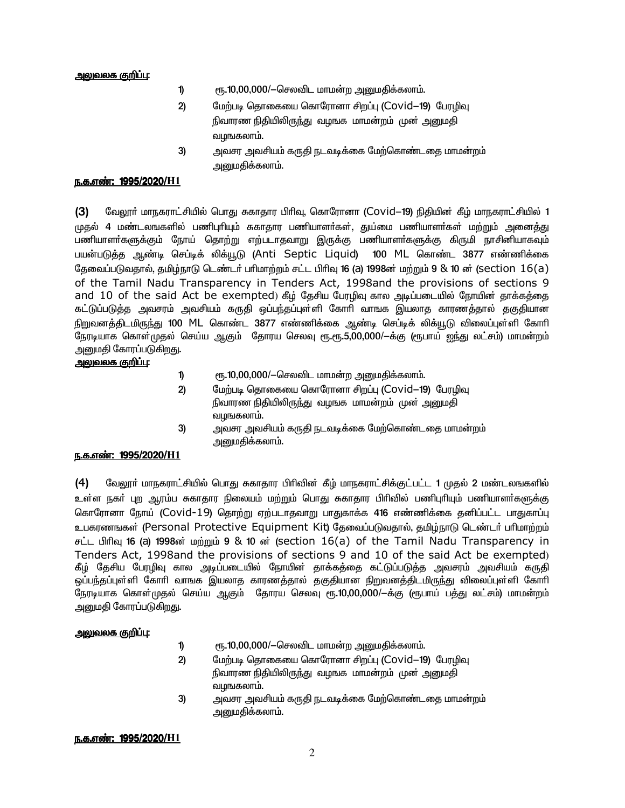#### அலுவலக குறிப்பு:

- ரூ.10,00,000/-செலவிட மாமன்ற அனுமதிக்கலாம். 1)
- $2)$ மேற்படி தொகையை கொரோனா சிறப்பு (Covid-19) பேரழிவு நிவாரண நிதியிலிருந்து வழங்க மாமன்றம் முன் அறையதி வழங்கலாம்.
- 3) அவசர அவசியம் கருதி நடவடிக்கை மேற்கொண்டதை மாமன்றம் <u>அனுமதிக்கலாம்.</u>

#### <u>ந.க.எண்: 1995/2020/H1</u>

வேலூர் மாநகராட்சியில் பொது சுகாதார பிரிவு, கொரோனா (Covid—19) நிதியின் கீழ் மாநகராட்சியில் 1  $(3)$ முதல் 4 மண்டலஙகளில் பணிபுரியும் சுகாதார பணியாளர்கள், துய்மை பணியாளர்கள் மற்றும் அனைத்து பணியாளா்களுக்கும் நோய் தொற்று எற்படாதவாறு இருக்கு பணியாளா்களுக்கு கிருமி நாசினியாகவும் பயன்படுத்த ஆண்டி செப்டிக் லிக்யூடு (Anti Septic Liquid) 100 ML கொண்ட 3877 எண்ணிக்கை தேவைப்படுவதால், தமிழ்நாடு டெண்டர் பரிமாற்றம் சட்ட பிரிவு 16 (a) 1998ன் மற்றும் 9 & 10 ன் (section 16(a) of the Tamil Nadu Transparency in Tenders Act, 1998and the provisions of sections 9 and 10 of the said Act be exempted) கீழ் தேசிய பேரழிவு கால அடிப்படையில் நோயின் தாக்கத்தை கட்டுப்படுத்த அவசரம் அவசியம் கருதி ஒப்பந்தப்புள்ளி கோரி வாஙக இயலாத காரணத்தால் தகுதியான நிறுவனத்திடமிருந்து 100 ML கொண்ட 3877 எண்ணிக்கை ஆண்டி செப்டிக் லிக்யூடு விலைப்புள்ளி கோரி நேரடியாக கொள்முதல் செய்ய ஆகும் தோரய செலவு ரூ.ரூ.5,00,000/ $-$ க்கு (ரூபாய் ஐந்து லட்சம்) மாமன்றம் அனுமதி கோரப்படுகி<u>றத</u>ு.

## <u>அலுவலக குறிப்பு:</u>

- $\mathbf{D}$ ரூ.10,00,000/-செலவிட மாமன்ற அனுமதிக்கலாம்.
- மேற்படி தொகையை கொரோனா சிறப்பு (Covid-19) பேரழிவு  $2)$ நிவாரண நிதியிலிருந்து வழஙக மாமன்றம் முன் அனுமதி வழஙகலாம்.
- $3)$ அவசர அவசியம் கருதி நடவடிக்கை மேற்கொண்டதை மாமன்றம் அறைமதிக்கலாம்**.**

#### <u>ந.க.எண்: 1995/2020/H1</u>

 $(4)$ வேலூா் மாநகராட்சியில் பொது சுகாதார பிாிவின் கீழ் மாநகராட்சிக்குட்பட்ட 1 முதல் 2 மண்டலஙகளில் உள்ள நகா் புற ஆரம்ப சுகாதார நிலையம் மற்றும் பொது சுகாதார பிாிவில் பணிபுாியும் பணியாளா்களுக்கு கொரோனா நோய் (Covid-19) தொற்று ஏற்படாதவாறு பாதுகாக்க 416 எண்ணிக்கை தனிப்பட்ட பாதுகாப்பு உபகரணஙகள் (Personal Protective Equipment Kit) தேவைப்படுவதால், தமிழ்நாடு டெண்டர் பரிமாற்றம் சட்ட பிரிவு 16 (a) 1998ன் மற்றும் 9 & 10 ன் (section 16(a) of the Tamil Nadu Transparency in Tenders Act, 1998and the provisions of sections 9 and 10 of the said Act be exempted) கீழ் தேசிய பேரழிவு கால அடிப்படையில் நோயின் தாக்கத்தை கட்டுப்படுத்த அவசரம் அவசியம் கருதி ஒப்பந்தப்புள்ளி கோரி வாஙக இயலாத காரணத்தால் தகுதியான நிறுவனத்திடமிருந்து விலைப்புள்ளி கோரி நேரடியாக கொள்முதல் செய்ய ஆகும் தோரய செலவு ரூ.10,00,000/—க்கு (ரூபாய் பத்து லட்சம்) மாமன்றம் அனுமதி கோரப்படுகிறது.

#### <u>அலுவலக குறிப்பு:</u>

- 1) ரூ.10,00,000/-செலவிட மாமன்ற அனுமதிக்கலாம்.
- $2)$ மேற்படி தொகையை கொரோனா சிறப்பு (Covid–19) பேரழிவு நிவாரண நிதியிலிருந்து வழஙக மாமன்றம் முன் அனுமதி வழஙகலாம்.
- $3)$ அவசர அவசியம் கருதி நடவடிக்கை மேற்கொண்டதை மாமன்றம் அனுமதிக்கலாம்.

#### ந.க.எண்: 1995/2020/H1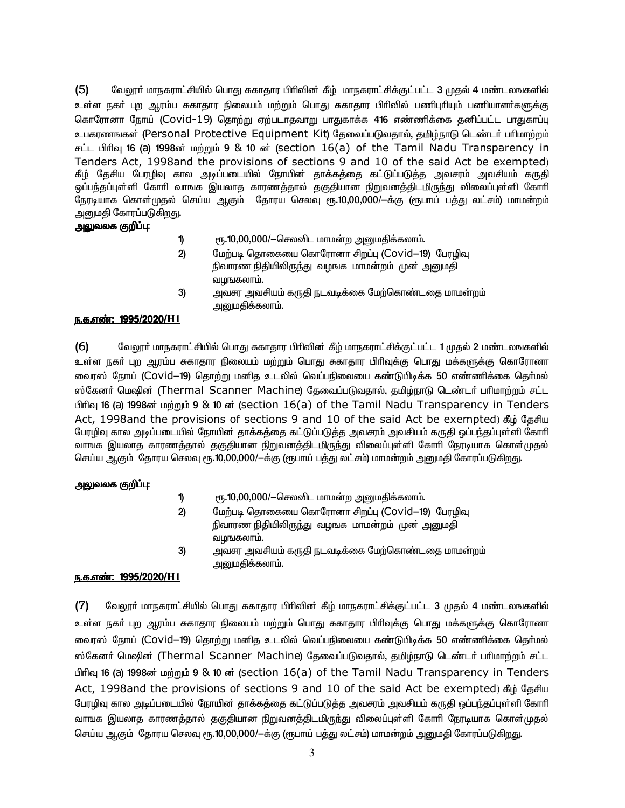$(5)$ வேலூர் மாநகராட்சியில் பொது சுகாதார பிரிவின் கீழ் மாநகராட்சிக்குட்பட்ட 3 முதல் 4 மண்டலஙகளில் உள்ள நகா் புற ஆரம்ப சுகாதார நிலையம் மற்றும் பொது சுகாதார பிாிவில் பணிபுாியும் பணியாளா்களுக்கு கொரோனா நோய் (Covid-19) தொற்று ஏற்படாதவாறு பாதுகாக்க 416 எண்ணிக்கை தனிப்பட்ட பாதுகாப்பு உபகரணஙகள் (Personal Protective Equipment Kit) தேவைப்படுவதால், தமிழ்நாடு டெண்டர் பரிமாற்றம் சட்ட பிரிவு 16 (a) 1998ன் மற்றும் 9 & 10 ன் (section 16(a) of the Tamil Nadu Transparency in Tenders Act, 1998and the provisions of sections 9 and 10 of the said Act be exempted) கீழ் தேசிய பேரழிவு கால அடிப்படையில் நோயின் தாக்கத்தை கட்டுப்படுத்த அவசரம் அவசியம் கருதி ஒப்பந்தப்புள்ளி கோரி வாஙக இயலாத காரணத்தால் தகுதியான நிறுவனத்திடமிருந்து விலைப்புள்ளி கோரி நேரடியாக கொள்முதல் செய்ய ஆகும் தோரய செலவு ரூ.10,00,000/—க்கு (ரூபாய் பத்து லட்சம்) மாமன்றம் அனுமதி கோரப்படுகிறது.

#### அலுவலக குறிப்பு:

- ரூ.10,00,000/-செலவிட மாமன்ற அனுமதிக்கலாம். 1)
- மேற்படி தொகையை கொரோனா சிறப்பு (Covid-19) பேரழிவு  $2)$ நிவாரண நிதியிலிருந்து வழஙக மாமன்றம் முன அனுமதி வழஙகலாம்.
- 3) அவசர அவசியம் கருதி நடவடிக்கை மேற்கொண்டதை மாமன்றம் அனுமதிக்கலாம்.

## ந.க.எண்: 1995/2020/H1

 $(6)$ வேலூா் மாநகராட்சியில் பொது சுகாதார பிாிவின் கீழ் மாநகராட்சிக்குட்பட்ட 1 முதல் 2 மண்டலஙகளில் உள்ள நகா் புற ஆரம்ப சுகாதார நிலையம் மற்றும் பொது சுகாதார பிாிவுக்கு பொது மக்களுக்கு கொரோனா வைரஸ் நோய் (Covid—19) தொற்று மனித உடலில் வெப்பநிலையை கண்டுபிடிக்க 50 எண்ணிக்கை தெர்மல் ஸ்கேனர் மெஷின் (Thermal Scanner Machine) தேவைப்படுவதால், தமிழ்நாடு டெண்டர் பரிமாற்றம் சட்ட பிரிவு 16 (a) 1998ன் மற்றும் 9 & 10 ன் (section 16(a) of the Tamil Nadu Transparency in Tenders Act, 1998and the provisions of sections 9 and 10 of the said Act be exempted) கீழ் தேசிய பேரழிவு கால அடிப்படையில் நோயின் தாக்கத்தை கட்டுப்படுத்த அவசரம் அவசியம் கருதி ஒப்பந்தப்புள்ளி கோரி வாஙக இயலாத காரணத்தால் தகுதியான நிறுவனத்திடமிருந்து விலைப்புள்ளி கோரி நேரடியாக கொள்முதல் செய்ய ஆகும் தோரய செலவு ரூ.10,00,000/—க்கு (ரூபாய் பத்து லட்சம்) மாமன்றம் அனுமதி கோரப்படுகிறது.

## <u>அலுவலக குறிப்பு:</u>

- 1) ரூ.10,00,000/-செலவிட மாமன்ற அனுமதிக்கலாம்.
- $2)$ மேற்படி தொகையை கொரோனா சிறப்பு (Covid-19) பேரழிவு நிவாரண நிதியிலிருந்து வழஙக மாமன்றம் முன அனுமதி வழங்கலாம்.
- 3) அவசர அவசியம் கருதி நடவடிக்கை மேற்கொண்டதை மாமன்றம் அனுமதிக்கலாம்.

## <u>ந.க.எண்: 1995/2020/H1</u>

 $(7)$ வேலூர் மாநகராட்சியில் பொது சுகாதார பிரிவின் கீழ் மாநகராட்சிக்குட்பட்ட 3 முதல் 4 மண்டலஙகளில் உள்ள நகா் புற ஆரம்ப சுகாதார நிலையம் மற்றும் பொது சுகாதார பிாிவுக்கு பொது மக்களுக்கு கொரோனா வைரஸ் நோய் (Covid—19) தொற்று மனித உடலில் வெப்பநிலையை கண்டுபிடிக்க 50 எண்ணிக்கை தெர்மல் ஸ்கேனர் மெஷின் (Thermal Scanner Machine) தேவைப்படுவதால், தமிழ்நாடு டெண்டர் பரிமாற்றம் சட்ட பிரிவு 16 (a) 1998ன் மற்றும் 9 & 10 ன் (section 16(a) of the Tamil Nadu Transparency in Tenders Act, 1998and the provisions of sections 9 and 10 of the said Act be exempted) கீழ் தேசிய பேரழிவு கால அடிப்படையில் நோயின் தாக்கத்தை கட்டுப்படுத்த அவசரம் அவசியம் கருதி ஒப்பந்தப்புள்ளி கோரி வாஙக இயலாத காரணத்தால் தகுதியான நிறுவனத்திடமிருந்து விலைப்புள்ளி கோரி நேரடியாக கொள்முதல் செய்ய ஆகும் தோரய செலவு ரூ.10,00,000/—க்கு (ரூபாய் பத்து லட்சம்) மாமன்றம் அனுமதி கோரப்படுகிறது.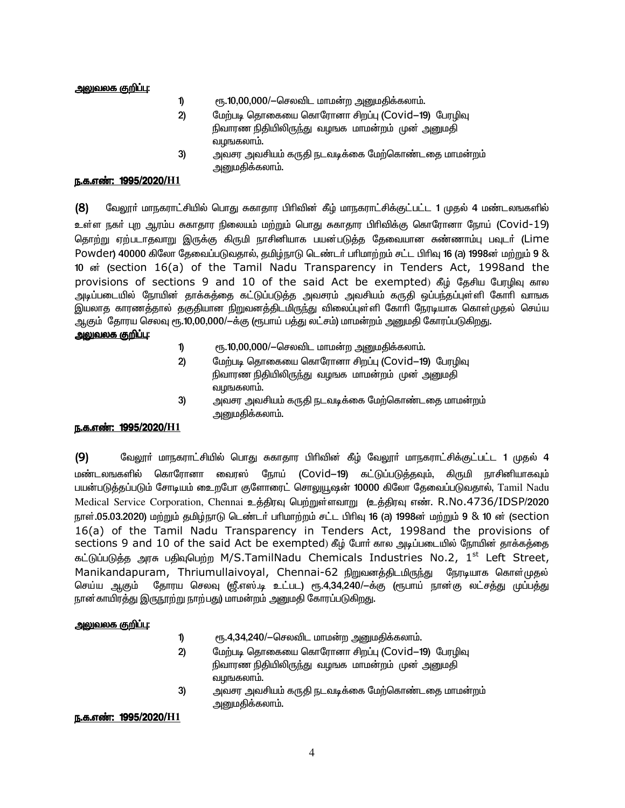#### <u>அலுவலக குறிப்பு:</u>

- $\mathbf{D}$ ரூ.10,00,000/-செலவிட மாமன்ற அனுமதிக்கலாம்.
- $2)$ மேற்படி தொகையை கொரோனா சிறப்பு (Covid-19) பேரழிவு நிவாரண நிதியிலிருந்து வழஙக மாமன்றம் முன அனுமதி வழங்கலாம்.
- அவசர அவசியம் கருதி நடவடிக்கை மேற்கொண்டதை மாமன்றம் 3) அனுமதிக்கலாம்.

#### ந.க.எண்: 1995/2020/H1

 $(8)$ வேலூா் மாநகராட்சியில் பொது சுகாதார பிாிவின் கீழ் மாநகராட்சிக்குட்பட்ட 1 முதல் 4 மண்டலஙகளில் உள்ள நகா் புற ஆரம்ப சுகாதார நிலையம் மற்றும் பொது சுகாதார பிரிவிக்கு கொரோனா நோய் (Covid–19) தொற்று ஏற்படாதவாறு இருக்கு கிருமி நாசினியாக பயன்படுத்த தேவையான சுண்ணாம்பு பவுடா் (Lime Powder) 40000 கிலோ தேவைப்படுவதால், தமிழ்நாடு டெண்டர் பரிமாற்றம் சட்ட பிரிவு 16 (a) 1998ன் மற்றும் 9 & 10 <sub>o</sub> (section 16(a) of the Tamil Nadu Transparency in Tenders Act, 1998and the provisions of sections 9 and 10 of the said Act be exempted) கீழ் தேசிய பேரழிவு கால அடிப்படையில் நோயின் தாக்கத்தை கட்டுப்படுத்த அவசரம் அவசியம் கருதி ஒப்பந்தப்புள்ளி கோரி வாஙக இயலாத காரணத்தால் தகுதியான நிறுவனத்திடமிருந்து விலைப்புள்ளி கோரி நேரடியாக கொள்முதல் செய்ய ஆகும் தோரய செலவு ரூ.10,00,000/—க்கு (ரூபாய் பத்து லட்சம்) மாமன்றம் அனுமதி கோரப்படுகிறது.

## <u>அலுவலக குறிப்பு:</u>

- ரூ.10,00,000/-செலவிட மாமன்ற அனுமதிக்கலாம். 1)
- மேற்படி தொகையை கொரோனா சிறப்பு (Covid-19) போழிவு  $2)$ நிவாரண நிதியிலிருந்து வழஙக மாமன்றம் முன அனுமதி வழங்கலாம்.
- அவசர அவசியம் கருதி நடவடிக்கை மேற்கொண்டதை மாமன்றம்  $3)$ அனுமதிக்கலாம்.

## ந.க.எண்: 1995/2020/H1

 $(9)$ வேலாா் மாநகராட்சியில் பொகு சுகாகார பிாிவின் கீம் வேலாா் மாநகராட்சிக்குட்பட்ட 1 முகல் 4 மண்டலஙகளில் கொரோனா வைாஸ் நோய் (Covid-19) கட்டுப்படுத்தவும், கிருமி நாசினியாகவம் பயன்படுத்தப்படும் சோடியம் உைறபோ குளோரைட் சொலுயூஷன் 10000 கிலோ தேவைப்படுவதால், Tamil Nadu Medical Service Corporation, Chennai உத்திரவு பெற்றுள்ளவாறு (உத்திரவு எண். R.No.4736/IDSP/2020 நாள்.05.03.2020) மற்றும் தமிழ்நாடு டெண்டர் பரிமாற்றம் சட்ட பிரிவு 16 (a) 1998ன் மற்றும் 9 & 10 ன் (section 16(a) of the Tamil Nadu Transparency in Tenders Act, 1998and the provisions of sections 9 and 10 of the said Act be exempted) கீழ் போர் கால அடிப்படையில் நோயின் தாக்கத்தை கட்டுப்படுத்த அரசு பதிவுபெற்ற M/S.TamilNadu Chemicals Industries No.2, 1<sup>st</sup> Left Street, Manikandapuram, Thriumullaivoyal, Chennai-62 நிறுவனத்திடமிருந்து நேரடியாக கொள்முதல் தோரய செலவு (ஜீ.எஸ்.டி உட்பட) ரூ.4,34,240/—க்கு (ரூபாய் நான்கு லட்சத்து முப்பத்து செய்ய ஆகும் நான்காயிரத்து இருநூற்று நாற்பது) மாமன்றம் அனுமதி கோரப்படுகிறது.

#### <u> அலுவலக குறிப்பு:</u>

- ரு.4,34,240/-செலவிட மாமன்ற அனுமதிக்கலாம்.  $\mathbf{D}$
- $2)$ மேற்படி தொகையை கொரோனா சிறப்பு (Covid-19) போழிவு நிவாரண நிதியிலிருந்து வழங்க மாமன்றம் முன் அறையதி வழங்கலாம்.
- 3) அவசர அவசியம் கருதி நடவடிக்கை மேற்கொண்டதை மாமன்றம் அனுமதிக்கலாம்.

#### ந.க.எண்: 1995/2020/H1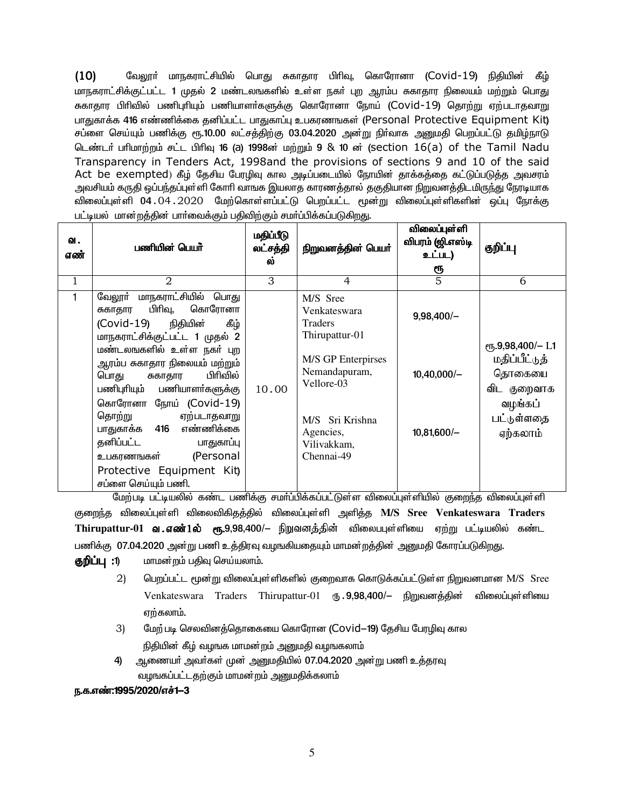$(10)$ வேலூா் மாநகராட்சியில் பொது சுகாதார பிாிவு, கொரோனா (Covid-19) நிதியின் கீழ் மாநகராட்சிக்குட்பட்ட 1 முதல் 2 மண்டலஙகளில் உள்ள நகர் புற ஆரம்ப சுகாதார நிலையம் மற்றும் பொது சுகாதார பிரிவில் பணிபுரியும் பணியாளர்களுக்கு கொரோனா நோய் (Covid–19) தொற்று ஏற்படாதவாறு பாகுகாக்க 416 எண்ணிக்கை கனிப்பட்ட பாகுகாப்பு உபகாணஙகள் (Personal Protective Equipment Kit) சப்ளை செய்யும் பணிக்கு ரூ.10.00 லட்சத்திற்கு 03.04.2020 அன்று நிா்வாக அனுமதி பெறப்பட்டு தமிழ்நாடு டெண்டர் பரிமாற்றம் சட்ட பிரிவு 16 (a) 1998ன் மற்றும் 9 & 10 ன் (section 16(a) of the Tamil Nadu Transparency in Tenders Act, 1998and the provisions of sections 9 and 10 of the said Act be exempted) கீழ் தேசிய பேரழிவு கால அடிப்படையில் நோயின் தாக்கத்தை கட்டுப்படுத்த அவசரம் அவசியம் கருதி ஒப்பந்தப்புள்ளி கோரி வாஙக இயலாத காரணத்தால் தகுதியான நிறுவனத்திடமிருந்து நேரடியாக விலைப்புள்ளி 04.04.2020 மேற்கொள்ளப்பட்டு பெறப்பட்ட மூன்று விலைப்புள்ளிகளின் ஒப்பு நோக்கு பட்டியல் மான்றக்கின் பார்வைக்கும் பகிவிற்கும் சமர்ப்பிக்கப்படுகிறது.

| வ.<br>எண்    | பணியின் பெயா்                                                                                                                                                                                                                                                                                                      | மதிப்பீடு<br>லட்சத்தி<br>ல் | நிறுவனத்தின் பெயர்                                                                                             | விலைப்புள்ளி<br>விபரம் (ஜி.எஸ்டி<br>உட்பட)<br>ரூ | குறிப்பு                                                                                                                |
|--------------|--------------------------------------------------------------------------------------------------------------------------------------------------------------------------------------------------------------------------------------------------------------------------------------------------------------------|-----------------------------|----------------------------------------------------------------------------------------------------------------|--------------------------------------------------|-------------------------------------------------------------------------------------------------------------------------|
| $\mathbf{1}$ | $\overline{2}$                                                                                                                                                                                                                                                                                                     | 3                           | $\overline{4}$                                                                                                 | 5                                                | 6                                                                                                                       |
| $\mathbf{1}$ | மாநகராட்சியில் பொது<br>வேலூா்<br>பிரிவு,<br>கொரோனா<br>சுகாதார<br>(Covid-19)<br>நிதியின்<br>கீழ்<br>மாநகராட்சிக்குட்பட்ட 1 முதல் 2                                                                                                                                                                                  |                             | M/S Sree<br>Venkateswara<br>Traders<br>Thirupattur-01                                                          | $9,98,400/-$                                     |                                                                                                                         |
|              | மண்டலஙகளில் உள்ள நகர் புற<br>ஆரம்ப சுகாதார நிலையம் மற்றும்<br>பிரிவில்<br>பொது<br>சுகாதார<br>பணிபுரியும் பணியாளர்களுக்கு<br>கொரோனா நோய் (Covid-19)<br>தொற்று<br>ஏற்படாதவாறு<br>எண்ணிக்கை<br>பாதுகாக்க 416<br>தனிப்பட்ட<br>பாதுகாப்பு<br>(Personal<br>உபகரணஙகள்<br>Protective Equipment Kit)<br>சப்ளை செய்யும் பணி. | 10.00                       | M/S GP Enterpirses<br>Nemandapuram,<br>Vellore-03<br>M/S Sri Krishna<br>Agencies,<br>Vilivakkam,<br>Chennai-49 | $10,40,000/-$<br>$10,81,600/-$                   | <sub>e</sub> <sup>1</sup> ,9,98,400/- L1<br>மதிப்பீட்டுத்<br>தொகையை<br>விட குறைவாக<br>வழங்கப்<br>பட்டுள்ளதை<br>ஏற்கலாம் |

மேற்படி பட்டியலில் கண்ட பணிக்கு சமா்ப்பிக்கப்பட்டுள்ள விலைப்புள்ளியில் குறைந்த விலைப்புள்ளி குறைந்த விலைப்புள்ளி விலைவிகிதத்தில் விலைப்புள்ளி அளித்த M/S Sree Venkateswara Traders Thirupattur-01 **வ எண்1ல் ரூ.**9,98,400/– நிறுவனத்தின் விலைபபுள்ளியை ஏற்று பட்டியலில் கண்ட பணிக்கு 07.04.2020 அன்று பணி உத்திரவு வழஙகியதையும் மாமன்றத்தின் அனுமதி கோரப்படுகிறது.

- குறிப்பு :1) மாமன்றம் பதிவு செய்யலாம்.
	- $(2)$ பெறப்பட்ட மூன்று விலைப்புள்ளிகளில் குறைவாக கொடுக்கப்பட்டுள்ள நிறுவனமான M/S Sree Venkateswara Traders Thirupattur-01 ரூ. 9.98.400/- நிறுவனக்கின் விலைப்புள்ளியை ஏற்கலாம்.
	- மேற் படி செலவினத்தொகையை கொரோன (Covid-19) தேசிய பேரழிவு கால  $3)$ நிதியின் கீழ் வழஙக மாமன்றம் அனுமதி வழஙகலாம்
	- 4) ஆணையா் அவா்கள் முன் அனுமதியில் 07.04.2020 அன்று பணி உத்தரவு வழஙகப்பட்டதற்கும் மாமன்றம் அறையதிக்கலாம்

#### ந.க.எண்:1995/2020/எச்1-3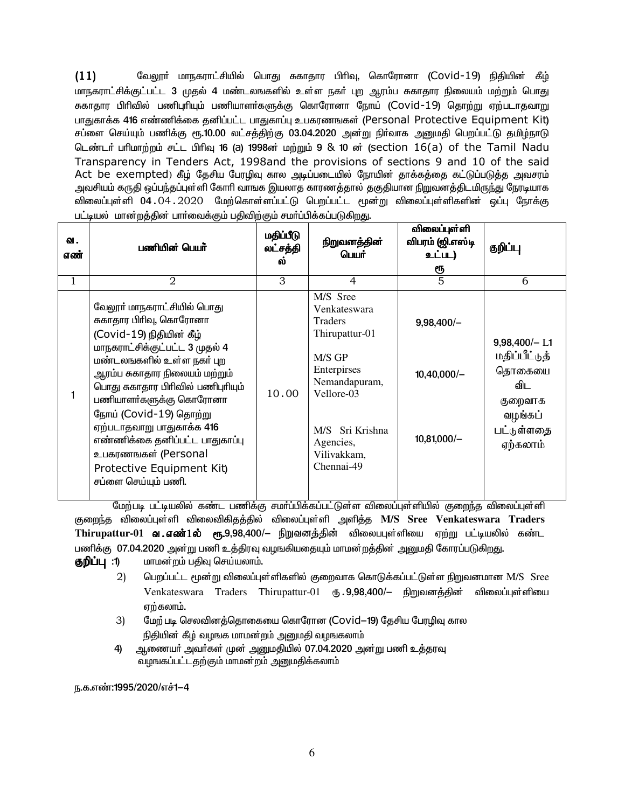$(11)$ வேலூா் மாநகராட்சியில் பொது சுகாதார பிாிவு, கொரோனா (Covid-19) நிதியின் கீழ் மாநகராட்சிக்குட்பட்ட 3 முதல் 4 மண்டலஙகளில் உள்ள நகர் புற ஆரம்ப சுகாதார நிலையம் மற்றும் பொது ககாதார பிரிவில் பணிபுரியும் பணியாளா்களுக்கு கொரோனா நோய் (Covid–19) தொற்று ஏற்படாதவாறு பாகுகாக்க 416 எண்ணிக்கை கனிப்பட்ட பாகுகாப்பு உபகாணஙகள் (Personal Protective Equipment Kit) சப்ளை செய்யும் பணிக்கு ரூ.10.00 லட்சத்திற்கு 03.04.2020 அன்று நிா்வாக அனுமதி பெறப்பட்டு தமிழ்நாடு டெண்டர் பரிமாற்றம் சட்ட பிரிவு 16 (a) 1998ன் மற்றும் 9 & 10 ன் (section 16(a) of the Tamil Nadu Transparency in Tenders Act, 1998and the provisions of sections 9 and 10 of the said Act be exempted) கீழ் தேசிய பேரழிவு கால அடிப்படையில் நோயின் தாக்கத்தை கட்டுப்படுத்த அவசரம் அவசியம் கருதி ஒப்பந்தப்புள்ளி கோரி வாஙக இயலாத காரணத்தால் தகுதியான நிறுவனத்திடமிருந்து நேரடியாக விலைப்புள்ளி 04.04.2020 மேற்கொள்ளப்பட்டு பெறப்பட்ட மூன்று விலைப்புள்ளிகளின் ஒப்பு நோக்கு பட்டியல் மான்றத்தின் பார்வைக்கும் பதிவிற்கும் சமர்ப்பிக்கப்படுகிறது.

| வ.<br>எண் | பணியின் பெயர்                                                                                                                                                                                                                                                                                                                                                                                                       | மதிப்பீடு<br>லட்சத்தி<br>ี คา | நிறுவனத்தின்<br>பெயர்                                                                                                                                                             | விலைப்புள்ளி<br>விபரம் (ஜி.எஸ்டி<br>உட்பட)<br>ரூ | குறிப்பு                                                                                          |
|-----------|---------------------------------------------------------------------------------------------------------------------------------------------------------------------------------------------------------------------------------------------------------------------------------------------------------------------------------------------------------------------------------------------------------------------|-------------------------------|-----------------------------------------------------------------------------------------------------------------------------------------------------------------------------------|--------------------------------------------------|---------------------------------------------------------------------------------------------------|
| 1         | 2                                                                                                                                                                                                                                                                                                                                                                                                                   | 3                             | 4                                                                                                                                                                                 | 5                                                | 6                                                                                                 |
|           | வேலூா் மாநகராட்சியில் பொது<br>சுகாதார பிரிவு, கொரோனா<br>(Covid-19) நிதியின் கீழ்<br>மாநகராட்சிக்குட்பட்ட 3 முதல் 4<br>மண்டலஙகளில் உள்ள நகர் புற<br>ஆரம்ப சுகாதார நிலையம் மற்றும்<br>பொது சுகாதார பிரிவில் பணிபுரியும்<br>பணியாளர்களுக்கு கொரோனா<br>நோய் (Covid-19) தொற்று<br>ஏற்படாதவாறு பாதுகாக்க 416<br>எண்ணிக்கை தனிப்பட்ட பாதுகாப்பு<br>உபகரணஙகள் (Personal<br>Protective Equipment Kit)<br>சப்ளை செய்யும் பணி. | 10.00                         | M/S Sree<br>Venkateswara<br><b>Traders</b><br>Thirupattur-01<br>M/S GP<br>Enterpirses<br>Nemandapuram,<br>Vellore-03<br>M/S Sri Krishna<br>Agencies,<br>Vilivakkam,<br>Chennai-49 | $9,98,400/-$<br>$10,40,000/-$<br>$10,81,000/-$   | $9,98,400/- L1$<br>மதிப்பீட்டுத்<br>தொகையை<br>விட<br>குறைவாக<br>வழங்கப்<br>பட்டுள்ளதை<br>ஏற்கலாம் |

மேற்படி பட்டியலில் கண்ட பணிக்கு சமாப்பிக்கப்பட்டுள்ள விலைப்புள்ளியில் குறைந்த விலைப்புள்ளி குறைந்த விலைப்புள்ளி விலைவிகிதத்தில் விலைப்புள்ளி அளித்த M/S Sree Venkateswara Traders Thirupattur-01 **வ .எண்1ல் ரூ.**9,98,400/– நிறுவனத்தின் விலைபபுள்ளியை ஏற்று பட்டியலில் கண்ட பணிக்கு 07.04.2020 அன்று பணி உத்திரவு வழஙகியதையும் மாமன்றத்தின் அனுமதி கோரப்படுகிறது.

மாமன்றம் பதிவு செய்யலாம். குறிப்பு :1)

- $(2)$ பெறப்பட்ட மூன்று விலைப்புள்ளிகளில் குறைவாக கொடுக்கப்பட்டுள்ள நிறுவனமான M/S Sree Venkateswara Traders Thirupattur-01 ரூ. 9,98,400/- நிறுவனத்தின் விலைப்புள்ளியை ஏற்கலாம்.
- $3)$ மேற் படி செலவினத்தொகையை கொரோன (Covid–19) தேசிய பேரழிவு கால நிதியின் கீழ் வழஙக மாமன்றம் அனுமதி வழஙகலாம்
- ஆணையா் அவா்கள் முன் அனுமதியில் 07.04.2020 அன்று பணி உத்தரவு 4) வழஙகப்பட்டதற்கும் மாமன்றம் அனுமதிக்கலாம்

ந.க.எண்:1995/2020/எச்1-4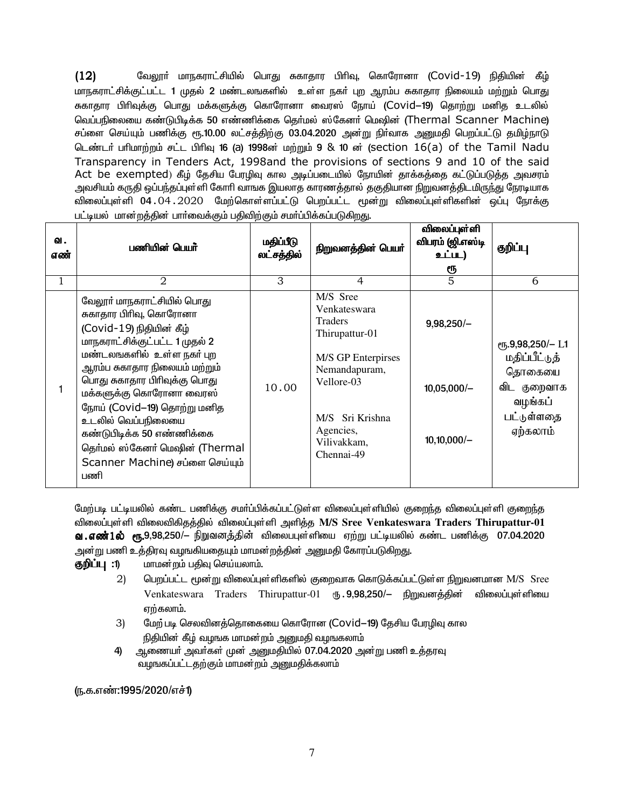$(12)$ வேலூா் மாநகராட்சியில் பொது சுகாதார பிாிவு, கொரோனா (Covid-19) நிதியின் கீழ் மாநகராட்சிக்குட்பட்ட 1 முதல் 2 மண்டலஙகளில் உள்ள நகர் புற ஆரம்ப சுகாதார நிலையம் மற்றும் பொது சுகாதார பிரிவுக்கு பொது மக்களுக்கு கொரோனா வைரஸ் நோய் (Covid<mark>–19)</mark> தொற்று மனித உடலில் வெப்பநிலையை கண்டுபிடிக்க 50 எண்ணிக்கை கெர்மல் ஸ்கேனர் மெஷின் (Thermal Scanner Machine) சப்ளை செய்யும் பணிக்கு ரூ.10.00 லட்சத்திற்கு 03.04.2020 அன்று நிா்வாக அனுமதி பெறப்பட்டு தமிழ்நாடு டெண்டர் பரிமாற்றம் சட்ட பிரிவு 16 (a) 1998ன் மற்றும் 9 & 10 ன் (section 16(a) of the Tamil Nadu Transparency in Tenders Act, 1998and the provisions of sections 9 and 10 of the said Act be exempted) கீழ் தேசிய பேரழிவு கால அடிப்படையில் நோயின் தாக்கத்தை கட்டுப்படுத்த அவசரம் அவசியம் கருதி ஒப்பந்தப்புள்ளி கோரி வாஙக இயலாத காரணத்தால் தகுதியான நிறுவனத்திடமிருந்து நேரடியாக விலைப்புள்ளி 04.04.2020 மேற்கொள்ளப்பட்டு பெறப்பட்ட மூன்று விலைப்புள்ளிகளின் ஒப்பு நோக்கு பட்டியல் மான்றத்தின் பார்வைக்கும் பதிவிற்கும் சமர்ப்பிக்கப்படுகிறது.

| வ.<br>எண் | பணியின் பெயர்                                                                                                                                                                                                                                                                                                                                                                                               | மதிப்பீடு<br>லட்சத்தில் | நிறுவனத்தின் பெயர்                                                                                                                                                             | விலைப்புள்ளி<br>விபரம் (ஜி.எஸ்டி<br>உட்பட)<br>ரூ | குறிப்பு                                                                                                            |
|-----------|-------------------------------------------------------------------------------------------------------------------------------------------------------------------------------------------------------------------------------------------------------------------------------------------------------------------------------------------------------------------------------------------------------------|-------------------------|--------------------------------------------------------------------------------------------------------------------------------------------------------------------------------|--------------------------------------------------|---------------------------------------------------------------------------------------------------------------------|
| 1         | $\mathfrak{D}$                                                                                                                                                                                                                                                                                                                                                                                              | 3                       | $\overline{4}$                                                                                                                                                                 | 5                                                | 6                                                                                                                   |
|           | வேலூா் மாநகராட்சியில் பொது<br>சுகாதார பிரிவு, கொரோனா<br>(Covid-19) நிதியின் கீழ்<br>மாநகராட்சிக்குட்பட்ட 1 முதல் 2<br>மண்டலஙகளில்  உள்ள நகர் புற<br>ஆரம்ப சுகாதார நிலையம் மற்றும்<br>பொது சுகாதார பிரிவுக்கு பொது<br>மக்களுக்கு கொரோனா வைரஸ்<br>நோய் (Covid-19) தொற்று மனித<br>உடலில் வெப்பநிலையை<br>கண்டுபிடிக்க 50 எண்ணிக்கை<br>தெர்மல் ஸ்கேனர் மெஷின் (Thermal<br>Scanner Machine) சப்ளை செய்யும்<br>பணி | 10.00                   | M/S Sree<br>Venkateswara<br><b>Traders</b><br>Thirupattur-01<br>M/S GP Enterpirses<br>Nemandapuram,<br>Vellore-03<br>M/S Sri Krishna<br>Agencies,<br>Vilivakkam,<br>Chennai-49 | $9,98,250/-$<br>$10,05,000/-$<br>$10,10,000/-$   | $\rm (f\bar{f}, 9, 98, 250/- L1)$<br>மதிப்பீட்டுத்<br>தொகையை<br>விட<br>குறைவாக<br>வழங்கப்<br>பட்டுள்ளதை<br>ஏற்கலாம் |

மேற்படி பட்டியலில் கண்ட பணிக்கு சமா்ப்பிக்கப்பட்டுள்ள விலைப்புள்ளியில் குறைந்த விலைப்புள்ளி குறைந்த விலைப்புள்ளி விலைவிகிதத்தில் விலைப்புள்ளி அளித்த M/S Sree Venkateswara Traders Thirupattur-01 **வ . எண் 1 ல் பா. 9.98.250/**— நிறுவனக்கின் விலைப்புள்ளியை எற்று பட்டியலில் கண்ட பணிக்கு 07.04.2020 அன்று பணி உத்திரவு வழஙகியதையும் மாமன்றத்தின் அனுமதி கோரப்படுகிறது.

- மாமன்றம் பகிவு செய்யலாம். குறிப்பு :1)
	- 2) பெறப்பட்ட மூன்று விலைப்புள்ளிகளில் குறைவாக கொடுக்கப்பட்டுள்ள நிறுவனமான M/S Sree Venkateswara Traders Thirupattur-01 ரூ. 9,98,250/- நிறுவனத்தின் விலைப்புள்ளியை ஏற்கலாம்.
	- மேற் படி செலவினத்தொகையை கொரோன (Covid-19) தேசிய பேரழிவு கால 3) நிதியின் கீழ் வழஙக மாமன்றம் அனுமதி வழஙகலாம்
	- 4) ஆணையா் அவா்கள் முன் அனுமதியில் 07.04.2020 அன்று பணி உத்தரவு வழஙகப்பட்டதற்கும் மாமன்றம் அனுமதிக்கலாம்

(ந.க.எண்:1995/2020/எச்1)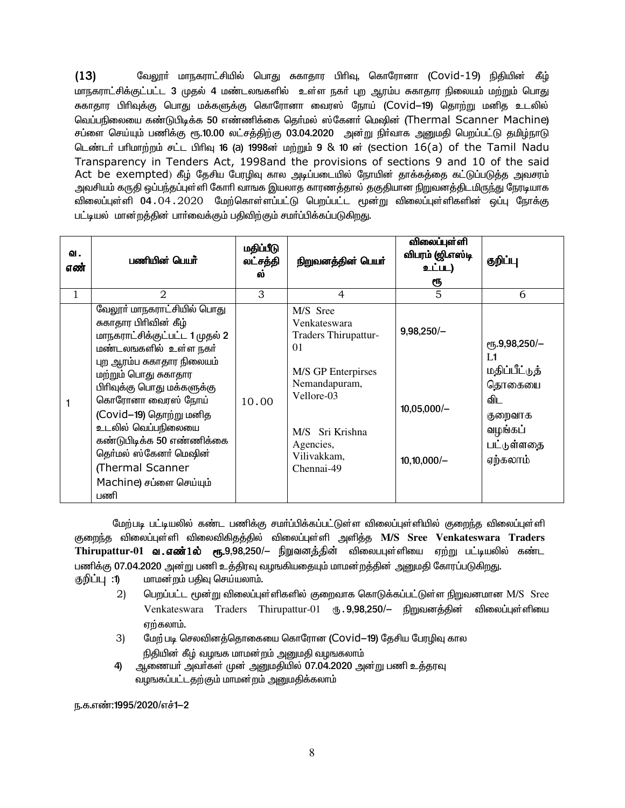$(13)$ வேலூா் மாநகராட்சியில் பொது சுகாதார பிாிவு, கொரோனா (Covid-19) நிதியின் கீழ் மாநகராட்சிக்குட்பட்ட 3 முதல் 4 மண்டலஙகளில் உள்ள நகர் புற ஆரம்ப சுகாதார நிலையம் மற்றும் பொது சுகாதார பிரிவுக்கு பொது மக்களுக்கு கொரோனா வைரஸ் நோய் (Covid—19) தொற்று மனித உடலில் வெப்பநிலையை கண்டுபிடிக்க 50 எண்ணிக்கை கெர்மல் ஸ்கேனர் மெஷின் (Thermal Scanner Machine) சப்ளை செய்யும் பணிக்கு ரூ.10.00 லட்சத்திற்கு 03.04.2020 அன்று நிா்வாக அனுமதி பெறப்பட்டு தமிழ்நாடு டெண்டர் பரிமாற்றம் சட்ட பிரிவு 16 (a) 1998ன் மற்றும் 9 & 10 ன் (section 16(a) of the Tamil Nadu Transparency in Tenders Act, 1998and the provisions of sections 9 and 10 of the said Act be exempted) கீழ் தேசிய பேரழிவு கால அடிப்படையில் நோயின் தாக்கத்தை கட்டுப்படுத்த அவசரம் அவசியம் கருதி ஒப்பந்தப்புள்ளி கோரி வாஙக இயலாத காரணத்தால் தகுதியான நிறுவனத்திடமிருந்து நேரடியாக விலைப்புள்ளி 04.04.2020 மேற்கொள்ளப்பட்டு பெறப்பட்ட மூன்று விலைப்புள்ளிகளின் ஒப்பு நோக்கு பட்டியல் மான்றத்தின் பார்வைக்கும் பதிவிற்கும் சமர்ப்பிக்கப்படுகிறது.

| வ.<br>எண் | பணியின் பெயர்                                                                                                                                                                                                                                                                                                                                                                       | மதிப்பீடு<br>லட்சத்தி<br>ี คา | நிறுவனத்தின் பெயர்                                                                                                                                                       | <b>விலைப்புள்</b> ளி<br>விபரம் (ஜி.எஸ்டி<br>உட்பட)<br>ரூ | குறிப்பு                                                                                                       |
|-----------|-------------------------------------------------------------------------------------------------------------------------------------------------------------------------------------------------------------------------------------------------------------------------------------------------------------------------------------------------------------------------------------|-------------------------------|--------------------------------------------------------------------------------------------------------------------------------------------------------------------------|----------------------------------------------------------|----------------------------------------------------------------------------------------------------------------|
| 1         | 2                                                                                                                                                                                                                                                                                                                                                                                   | 3                             | 4                                                                                                                                                                        | 5                                                        | 6                                                                                                              |
|           | வேலூர் மாநகராட்சியில் பொது<br>சுகாதார பிரிவின் கீழ்<br>மாநகராட்சிக்குட்பட்ட 1 முதல் 2<br>மண்டலஙகளில் உள்ள நகர்<br>புற ஆரம்ப சுகாதார நிலையம்<br>மற்றும் பொது சுகாதார<br>பிரிவுக்கு பொது மக்களுக்கு<br>கொரோனா வைரஸ் நோய்<br>(Covid-19) தொற்று மனித<br>உடலில் வெப்பநிலையை<br>கண்டுபிடிக்க 50 எண்ணிக்கை<br>தெர்மல் ஸ்கேனர் மெஷின்<br>(Thermal Scanner<br>Machine) சப்ளை செய்யும்<br>பணி | 10.00                         | M/S Sree<br>Venkateswara<br>Traders Thirupattur-<br>01<br>M/S GP Enterpirses<br>Nemandapuram,<br>Vellore-03<br>M/S Sri Krishna<br>Agencies,<br>Vilivakkam,<br>Chennai-49 | $9,98,250/-$<br>$10,05,000/-$<br>$10,10,000/-$           | $\rm e$ гг, 9,98,250/-<br>L1<br>மதிப்பீட்டுத்<br>தொகையை<br>விட<br>குறைவாக<br>வழங்கப்<br>பட்டுள்ளதை<br>ஏற்கலாம் |

மேற்படி பட்டியலில் கண்ட பணிக்கு சமா்ப்பிக்கப்பட்டுள்ள விலைப்புள்ளியில் குறைந்த விலைப்புள்ளி குறைந்த விலைப்புள்ளி விலைவிகிதத்தில் விலைப்புள்ளி அளித்த M/S Sree Venkateswara Traders <code>Thirupattur-01</code> வ . எண் $1$ ல்  $_{\rm e\pi}$ .9,98,250/– நிறுவனத்தின் விலைபபுள்ளியை ஏற்று பட்டியலில் கண்ட பணிக்கு 07.04.2020 அன்று பணி உத்திரவு வழஙகியதையும் மாமன்றத்தின் அனுமதி கோரப்படுகிறது.

குறிப்பு :1) மாமன்றம் பதிவு செய்யலாம்.

- $(2)$ பெறப்பட்ட மூன்று விலைப்புள்ளிகளில் குறைவாக கொடுக்கப்பட்டுள்ள நிறுவனமான M/S Sree Venkateswara Traders Thirupattur-01 ரூ. 9,98,250/– நிறுவனத்தின் விலைப்புள்ளியை ஏற்கலாம்.
- $3)$ மேற் படி செலவினத்தொகையை கொரோன (Covid–19) தேசிய பேரழிவு கால நிதியின் கீழ் வழஙக மாமன்றம் அனுமதி வழஙகலாம்
- ஆணையா் அவா்கள் முன் அனுமதியில் 07.04.2020 அன்று பணி உத்தரவு 4) வழஙகப்பட்டதற்கும் மாமன்றம் அனுமதிக்கலாம்

ந.க.எண்:1995/2020/எச்1-2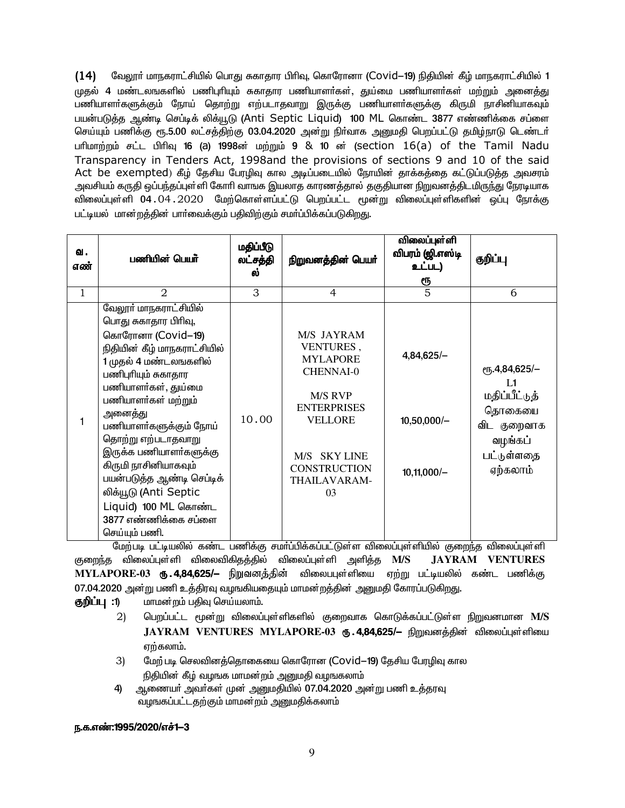$(14)$ வேலூா் மாநகராட்சியில் பொது சுகாதார பிாிவு, கொரோனா (Covid—19) நிதியின் கீழ் மாநகராட்சியில் 1 முகல் 4 மண்டலஙகளில் பணிபுரியும் சுகாகார பணியாளர்கள். குய்மை பணியாளர்கள் மற்றும் அனைக்கு பணியாளா்களுக்கும் நோய் தொற்று எற்படாதவாறு இருக்கு பணியாளா்களுக்கு கிருமி நாசினியாகவும் பயன்படுத்த ஆண்டி செப்டிக் லிக்யூடு (Anti Septic Liquid) 100 ML கொண்ட 3877 எண்ணிக்கை சப்ளை செய்யும் பணிக்கு ரூ.5.00 லட்சத்திற்கு 03.04.2020 அன்று நிர்வாக அனுமதி பெறப்பட்டு தமிழ்நாடு டெண்டர் பரிமாற்றம் சட்ட பிரிவு 16 (a) 1998ன் மற்றும் 9 & 10 ன் (section 16(a) of the Tamil Nadu Transparency in Tenders Act, 1998and the provisions of sections 9 and 10 of the said Act be exempted) கீழ் தேசிய பேரழிவு கால அடிப்படையில் நோயின் தாக்கத்தை கட்டுப்படுத்த அவசரம் அவசியம் கருதி ஒப்பந்தப்புள்ளி கோரி வாஙக இயலாத காரணத்தால் தகுதியான நிறுவனத்திடமிருந்து நேரடியாக விலைப்புள்ளி 04.04.2020 மேற்கொள்ளப்பட்டு பெறப்பட்ட மூன்று விலைப்புள்ளிகளின் ஒப்பு நோக்கு பட்டியல் மான்றத்தின் பார்வைக்கும் பதிவிற்கும் சமர்ப்பிக்கப்படுகிறது.

| வ.<br>எண்    | பணியின் பெயர்                                                                                                                                                                                                                                                                                                                                                                                                                        | மதிப்பீடு<br>லட்சத்தி<br>ல் | நிறுவனத்தின் பெயர்                                                                                                                                                                         | விலைப்புள்ளி<br>விபரம் (ஜி.எஸ்டி<br>உட்பட)<br><u>ரூ</u> | குறிப்பு                                                                                                                      |
|--------------|--------------------------------------------------------------------------------------------------------------------------------------------------------------------------------------------------------------------------------------------------------------------------------------------------------------------------------------------------------------------------------------------------------------------------------------|-----------------------------|--------------------------------------------------------------------------------------------------------------------------------------------------------------------------------------------|---------------------------------------------------------|-------------------------------------------------------------------------------------------------------------------------------|
| $\mathbf{1}$ | $\overline{2}$                                                                                                                                                                                                                                                                                                                                                                                                                       | 3                           | $\overline{4}$                                                                                                                                                                             | $\overline{5}$                                          | 6                                                                                                                             |
| 1            | வேலூா் மாநகராட்சியில்<br>பொது சுகாதார பிரிவு,<br>கொரோனா (Covid-19)<br>நிதியின் கீழ் மாநகராட்சியில்<br>1 முதல் 4 மண்டலஙகளில்<br>பணிபுரியும் சுகாதார<br>பணியாளர்கள், துய்மை<br>பணியாளர்கள் மற்றும்<br>அனைத்து<br>பணியாளா்களுக்கும் நோய்<br>தொற்று எற்படாதவாறு<br>இருக்க பணியாளர்களுக்கு<br>கிருமி நாசினியாகவும்<br>பயன்படுத்த ஆண்டி செப்டிக்<br>லிக்யூடு (Anti Septic<br>Liquid) 100 ML கொண்ட<br>3877 எண்ணிக்கை சப்ளை<br>செய்யும் பணி. | 10.00                       | M/S JAYRAM<br>VENTURES,<br><b>MYLAPORE</b><br><b>CHENNAI-0</b><br>M/S RVP<br><b>ENTERPRISES</b><br><b>VELLORE</b><br>M/S SKY LINE<br><b>CONSTRUCTION</b><br>THAILAVARAM-<br>0 <sup>3</sup> | $4,84,625/-$<br>$10,50,000/-$<br>$10,11,000/-$          | <sub>C</sub> <sup>1</sup> , 4, 84, 625/-<br>L1<br>மதிப்பீட்டுத்<br>தொகையை<br>விட குறைவாக<br>வழங்கப்<br>பட்டுள்ளதை<br>ஏற்கலாம் |

மேற்படி பட்டியலில் கண்ட பணிக்கு சமா்ப்பிக்கப்பட்டுள்ள விலைப்புள்ளியில் குறைந்த விலைப்புள்ளி குறைந்த விலைப்புள்ளி விலைவிகிதக்கில் விலைப்புள்ளி அளிக்க  $\overline{\rm M/S}$ **JAYRAM VENTURES** MYLAPORE-03 ரூ.4,84,625/— நிறுவனத்தின் விலைபபுள்ளியை ஏற்று பட்டியலில் கண்ட பணிக்கு 07.04.2020 அன்று பணி உத்திரவு வழஙகியதையும் மாமன்றத்தின் அனுமதி கோரப்படுகிறது.

- குறிப்பு :1) மாமன்றம் பதிவு செய்யலாம்.
	- $(2)$ பெறப்பட்ட மூன்று விலைப்புள்ளிகளில் குறைவாக கொடுக்கப்பட்டுள்ள நிறுவனமான M/S JAYRAM VENTURES MYLAPORE-03 ரூ. 4,84,625/– நிறுவனத்தின் விலைப்புள்ளியை ஏற்கலாம்.
	- மேற் படி செலவினத்தொகையை கொரோன (Covid-19) தேசிய பேரழிவு கால 3) நிதியின் கீழ் வழஙக மாமன்றம் அனுமதி வழஙகலாம்
	- 4) ஆணையர் அவர்கள் முன் அனுமதியில் 07.04.2020 அன்று பணி உத்தரவு வழஙகப்பட்டதற்கும் மாமன்றம் அனுமதிக்கலாம்

#### ந.க.எண்:1995/2020/எச்1-3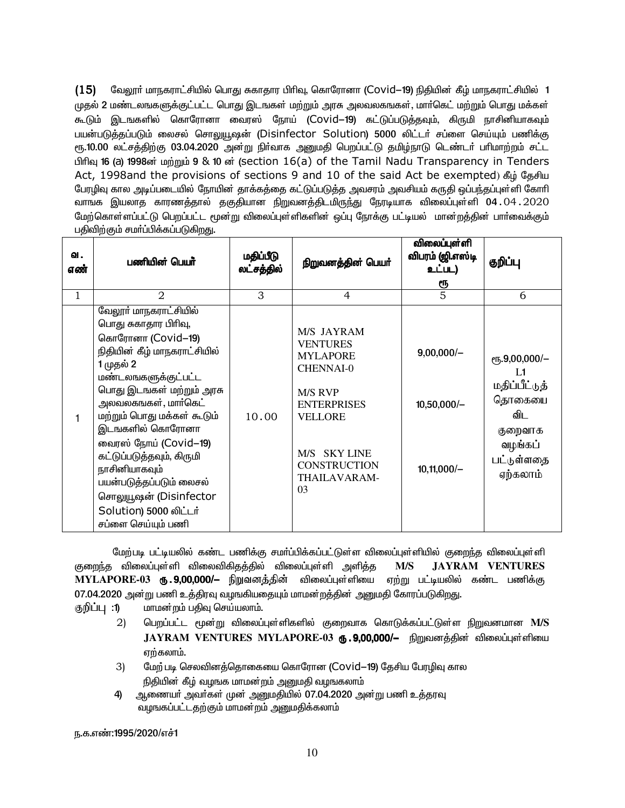வேலூர் மாநகராட்சியில் பொது சுகாதார பிரிவு, கொரோனா (Covid—19) நிதியின் கீழ் மாநகராட்சியில் 1  $(15)$ முதல் 2 மண்டலஙகளுக்குட்பட்ட பொது இடஙகள் மற்றும் அரசு அலவலகஙகள், மார்கெட் மற்றும் பொது மக்கள் கூடும் இடஙகளில் கொரோனா வைரஸ் நோய் (Covid—19) கட்டுப்படுத்தவும், கிருமி நாசினியாகவும் பயன்படுத்தப்படும் லைசல் சொலுயூஷன் (Disinfector Solution) 5000 லிட்டர் சப்ளை செய்யும் பணிக்கு ரூ.10.00 லட்சத்திற்கு 03.04.2020 அன்று நிர்வாக அனுமதி பெறப்பட்டு தமிழ்நாடு டெண்டர் பரிமாற்றம் சட்ட பிரிவு 16 (a) 1998ன் மற்றும் 9 & 10 ன் (section 16(a) of the Tamil Nadu Transparency in Tenders Act, 1998and the provisions of sections 9 and 10 of the said Act be exempted) கீழ் கேசிய பேரழிவு கால அடிப்படையில் நோயின் தாக்கத்தை கட்டுப்படுத்த அவசரம் அவசியம் கருதி ஒப்பந்தப்புள்ளி கோரி வாஙக இயலாத காரணத்தால் தகுதியான நிறுவனத்திடமிருந்து நேரடியாக விலைப்புள்ளி 04․04․2020 மேற்கொள்ளப்பட்டு பெறப்பட்ட மூன்று விலைப்புள்ளிகளின் ஒப்பு நோக்கு பட்டியல் மான்றத்தின் பாா்வைக்கும் பதிவிற்கும் சமா்ப்பிக்கப்படுகிறது.

| வ.<br>எண் | பணியின் பெயர்                                                                                                                                                                                                                                                                                                                                                                                                          | மதிப்பீடு<br>லட்சத்தில் | நிறுவனத்தின் பெயர்                                                                                                                                                                                    | விலைப்புள்ளி<br>விபரம் (ஜி.எஸ்டி<br>உட்பட)<br>ரூ | குறிப்பு                                                                                                   |
|-----------|------------------------------------------------------------------------------------------------------------------------------------------------------------------------------------------------------------------------------------------------------------------------------------------------------------------------------------------------------------------------------------------------------------------------|-------------------------|-------------------------------------------------------------------------------------------------------------------------------------------------------------------------------------------------------|--------------------------------------------------|------------------------------------------------------------------------------------------------------------|
| 1         | $\overline{2}$                                                                                                                                                                                                                                                                                                                                                                                                         | 3                       | $\overline{4}$                                                                                                                                                                                        | 5                                                | 6                                                                                                          |
|           | வேலூா் மாநகராட்சியில்<br>பொது சுகாதார பிரிவு,<br>கொரோனா (Covid-19)<br>நிதியின் கீழ் மாநகராட்சியில்<br>1 முதல் 2<br>மண்டலஙகளுக்குட்பட்ட<br>பொது இடஙகள் மற்றும் அரசு<br>அலவலகஙகள், மார்கெட்<br>மற்றும் பொது மக்கள் கூடும்<br>இடஙகளில் கொரோனா<br>வைரஸ் நோய் (Covid-19)<br>கட்டுப்படுத்தவும், கிருமி<br>நாசினியாகவும்<br>பயன்படுத்தப்படும் லைசல்<br>சொலுயூஷன் (Disinfector<br>Solution) 5000 லிட்டர்<br>சப்ளை செய்யும் பணி | 10.00                   | M/S JAYRAM<br><b>VENTURES</b><br><b>MYLAPORE</b><br><b>CHENNAI-0</b><br><b>M/S RVP</b><br><b>ENTERPRISES</b><br><b>VELLORE</b><br><b>SKY LINE</b><br>M/S<br><b>CONSTRUCTION</b><br>THAILAVARAM-<br>03 | $9,00,000/-$<br>$10,50,000/-$<br>$10,11,000/-$   | $e$ гҕ.9,00,000/-<br>I 1<br>மதிப்பீட்டுத்<br>தொகையை<br>விட<br>குறைவாக<br>வழங்கப்<br>பட்டுள்ளதை<br>ஏற்கலாம் |

மேற்படி பட்டியலில் கண்ட பணிக்கு சமா்ப்பிக்கப்பட்டுள்ள விலைப்புள்ளியில் குறைந்த விலைப்புள்ளி குறைந்த விலைப்புள்ளி விலைவிகிதத்தில் விலைப்புள்ளி அளித்த  $M/S$ **JAYRAM VENTURES** MYLAPORE-03 **ரு . 9,00,000/–** நிறுவனத்தின் விலைப்புள்ளியை ஏற்று பட்டியலில் கண்ட பணிக்கு 07.04.2020 அன்று பணி உத்திரவு வழஙகியதையும் மாமன்றத்தின் அனுமதி கோரப்படுகிறது.

- மாமன்றம் பதிவு செய்யலாம். குறிப்பு :1)
	- $(2)$ பெறப்பட்ட மூன்று விலைப்புள்ளிகளில் குறைவாக கொடுக்கப்பட்டுள்ள நிறுவனமான M/S JAYRAM VENTURES MYLAPORE-03 ரூ.9,00,000/- நிறுவனத்தின் விலைப்புள்ளியை ஏற்கலாம்.
	- $3)$ மேற் படி செலவினத்தொகையை கொரோன (Covid—19) தேசிய பேரழிவு கால நிதியின் கீழ் வழஙக மாமன்றம் அனுமதி வழஙகலாம்
	- ஆணையா் அவா்கள் முன் அனுமதியில் 07.04.2020 அன்று பணி உத்தரவு 4) வழஙகப்பட்டதற்கும் மாமன்றம் அனுமதிக்கலாம்

ந.க.எண்:1995/2020/எச்1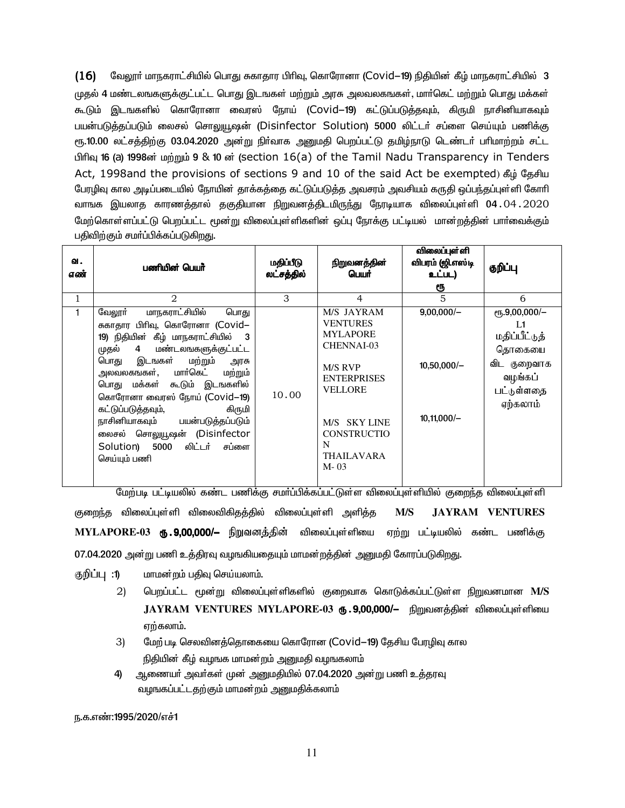$(16)$ வேலூா் மாநகராட்சியில் பொது சுகாதார பிாிவு, கொரோனா (Covid—19) நிதியின் கீழ் மாநகராட்சியில் 3 முதல் 4 மண்டலஙகளுக்குட்பட்ட பொது இடஙகள் மற்றும் அரசு அலவலகஙகள், மார்கெட் மற்றும் பொது மக்கள் கூடும் இடஙகளில் கொரோனா வைரஸ் நோய் (Covid—19) கட்டுப்படுத்தவும், கிருமி நாசினியாகவும் பயன்படுத்தப்படும் லைசல் சொலுயூஷன் (Disinfector Solution) 5000 லிட்டர் சப்ளை செய்யும் பணிக்கு ரூ.10.00 லட்சத்திற்கு 03.04.2020 அன்று நிர்வாக அனுமதி பெறப்பட்டு தமிழ்நாடு டெண்டர் பரிமாற்றம் சட்ட பிரிவு 16 (a) 1998ன் மற்றும் 9 & 10 ன் (section 16(a) of the Tamil Nadu Transparency in Tenders Act, 1998and the provisions of sections 9 and 10 of the said Act be exempted) கீழ் தேசிய பேரழிவு கால அடிப்படையில் நோயின் தாக்கத்தை கட்டுப்படுத்த அவசரம் அவசியம் கருதி ஒப்பந்தப்புள்ளி கோரி வாஙக இயலாத காரணத்தால் தகுதியான நிறுவனத்திடமிருந்து நேரடியாக விலைப்புள்ளி 04․04․2020 மேற்கொள்ளப்பட்டு பெறப்பட்ட மூன்று விலைப்புள்ளிகளின் ஒப்பு நோக்கு பட்டியல் மான்றத்தின் பார்வைக்கும் பதிவிற்கும் சமர்ப்பிக்கப்படுகிறது.

| ഖ.<br>எண்    | பணியின் பெயர்                                                                                                                                                                                                                                                                                                                                                                                                                                     | மதிப்பீடு<br>லட்சத்தில் | நிறுவனத்தின்<br>பெயர்                                                                                                                                                                                     | விலைப்புள்ளி<br>விபரம் (ஜி.எஸ்டி<br>உட்பட)<br>ரூ | குறிப்பு                                                                                                |
|--------------|---------------------------------------------------------------------------------------------------------------------------------------------------------------------------------------------------------------------------------------------------------------------------------------------------------------------------------------------------------------------------------------------------------------------------------------------------|-------------------------|-----------------------------------------------------------------------------------------------------------------------------------------------------------------------------------------------------------|--------------------------------------------------|---------------------------------------------------------------------------------------------------------|
| $\mathbf{1}$ | $\mathfrak{D}$                                                                                                                                                                                                                                                                                                                                                                                                                                    | 3                       | $\overline{4}$                                                                                                                                                                                            | 5                                                | 6                                                                                                       |
|              | மாநகராட்சியில்<br>வேலூர்<br>பொது<br>சுகாதார பிரிவு, கொரோனா (Covid–<br>19) நிதியின் கீழ் மாநகராட்சியில்<br>- 3<br>மண்டலஙகளுக்குட்பட்ட<br>முதல்<br>4<br>மற்றும்<br>பொது<br>இடஙகள்<br>அரசு<br>அலவலகஙகள், மார்கெட்<br>மற்றும்<br>பொது மக்கள் கூடும் இடஙகளில்<br>கொரோனா வைரஸ் நோய் (Covid-19)<br>கட்டுப்படுத்தவும்,<br>கிருமி<br>நாசினியாகவும் பயன்படுத்தப்படும்<br>லைசல் சொலுயூஷன் (Disinfector<br>லிட்டர்<br>Solution) 5000<br>சப்ளை<br>செய்யும் பணி | 10.00                   | M/S JAYRAM<br><b>VENTURES</b><br><b>MYLAPORE</b><br><b>CHENNAI-03</b><br><b>M/S RVP</b><br><b>ENTERPRISES</b><br><b>VELLORE</b><br>M/S SKY LINE<br><b>CONSTRUCTIO</b><br>N<br><b>THAILAVARA</b><br>$M-03$ | $9,00,000/-$<br>$10,50,000/-$<br>$10,11,000/-$   | $e$ гҕ.9,00,000/-<br>I 1<br>மதிப்பீட்டுத்<br>தொகையை<br>விட குறைவாக<br>வழங்கப்<br>பட்டுள்ளதை<br>ஏற்கலாம் |

மேற்படி பட்டியலில் கண்ட பணிக்கு சமா்ப்பிக்கப்பட்டுள்ள விலைப்புள்ளியில் குறைந்த விலைப்புள்ளி குறைந்த விலைப்புள்ளி விலைவிகிதத்தில் விலைப்புள்ளி அளித்த  $M/S$ **JAYRAM VENTURES** MYLAPORE-03 ரூ.9,00,000/— நிறுவனத்தின் விலைப்புள்ளியை ஏற்று பட்டியலில் கண்ட பணிக்கு 07.04.2020 அன்று பணி உத்திரவு வழஙகியதையும் மாமன்றத்தின் அனுமதி கோரப்படுகிறது.

குறிப்பு :1) மாமன்றம் பதிவு செய்யலாம்.

- $(2)$ பெறப்பட்ட மூன்று விலைப்புள்ளிகளில் குறைவாக கொடுக்கப்பட்டுள்ள நிறுவனமான M/S .JAYRAM VENTURES MYLAPORE-03 **ரு .9.00.000/**– நிறுவனக்கின் விலைப்புள்ளியை ஏற்கலாம்.
- $3)$ மேற் படி செலவினத்தொகையை கொரோன (Covid-19) தேசிய பேரழிவு கால நிதியின் கீழ் வழஙக மாமன்றம் அனுமதி வழஙகலாம்
- ஆணையா் அவா்கள் முன் அனுமதியில் 07.04.2020 அன்று பணி உத்தரவு 4) வழஙகப்பட்டதற்கும் மாமன்றம் அனுமதிக்கலாம்

ந.க.எண்:1995/2020/எச்1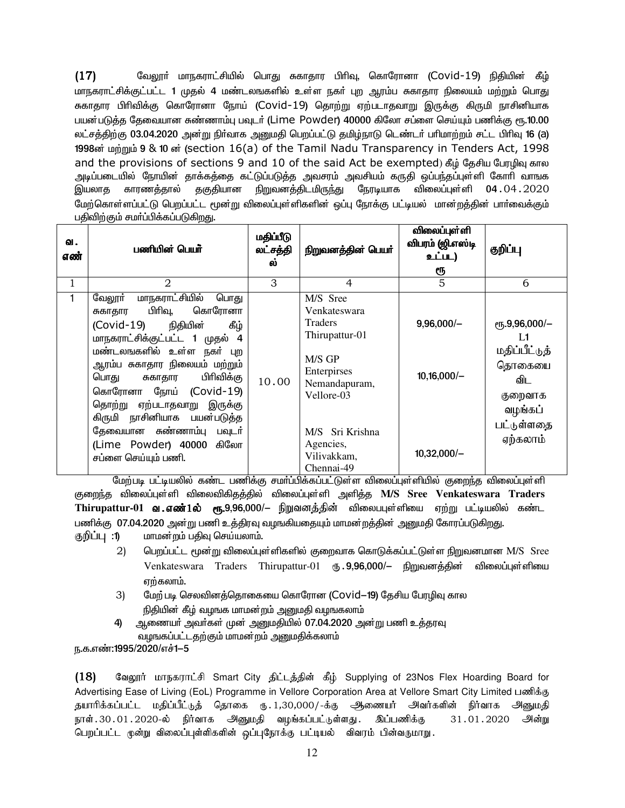$(17)$ வேலூா் மாநகராட்சியில் பொது சுகாதார பிாிவு, கொரோனா (Covid-19) நிதியின் கீழ் மாநகராட்சிக்குட்பட்ட 1 முதல் 4 மண்டலஙகளில் உள்ள நகர் புற ஆரம்ப சுகாதார நிலையம் மற்றும் பொது சுகாதார பிரிவிக்கு கொரோனா நோய் (Covid-19) தொற்று ஏற்படாதவாறு இருக்கு கிருமி நாசினியாக பயன்படுக்க கேவையான சுண்ணாம்பு பவடர் (Lime\_Powder) 40000 கிலோ சப்ளை செய்யும் பணிக்கு ரூ.10.00 ்லட்சத்திற்கு 03.04.2020 அன்று நிர்வாக அனுமதி பெறப்பட்டு தமிழ்நாடு டெண்டர் பரிமாற்றம் சட்ட பிரிவு 16 (a) 1998ன் மற்றும் 9 & 10 ன் (section 16(a) of the Tamil Nadu Transparency in Tenders Act, 1998 and the provisions of sections 9 and 10 of the said Act be exempted) கீழ் தேசிய பேரழிவு கால அடிப்படையில் நோயின் தாக்கத்தை கட்டுப்படுத்த அவசரம் அவசியம் கருதி ஒப்பந்தப்புள்ளி கோரி வாஙக காரணத்தால் தகுதியான நிறுவனத்திடமிருந்து நேரடியாக விலைப்புள்ளி 04 . 04 . 2020 இயலாத மேற்கொள்ளப்பட்டு பெறப்பட்ட மூன்று விலைப்புள்ளிகளின் ஒப்பு நோக்கு பட்டியல் மான்றத்தின் பார்வைக்கும் பதிவிற்கும் சமர்ப்பிக்கப்படுகிறது.

| வ.<br>எண் | பணியின் பெயர்                                                                                                                                                                                                                                                                                                                                                                                               | மதிப்பீடு<br>லட்சத்தி<br>ல் | நிறுவனத்தின் பெயர்                                                                                                                                                                | விலைப்புள்ளி<br>விபரம் (ஜி.எஸ்டி<br>உட்பட)<br>ரூ | குறிப்பு                                                                                                   |
|-----------|-------------------------------------------------------------------------------------------------------------------------------------------------------------------------------------------------------------------------------------------------------------------------------------------------------------------------------------------------------------------------------------------------------------|-----------------------------|-----------------------------------------------------------------------------------------------------------------------------------------------------------------------------------|--------------------------------------------------|------------------------------------------------------------------------------------------------------------|
| 1         | 2                                                                                                                                                                                                                                                                                                                                                                                                           | 3                           | 4                                                                                                                                                                                 | 5                                                | 6                                                                                                          |
|           | <u>மாநகராட்சியில்</u><br>வேலூா்<br>பொது<br>பிரிவு,<br>கொரோனா<br>சுகாதார<br>(Covid-19) நிதியின்<br>கீழ்<br>மாநகராட்சிக்குட்பட்ட 1 முதல் 4<br>மண்டலஙகளில் உள்ள நகர் புற<br>ஆரம்ப சுகாதார நிலையம் மற்றும்<br>பிரிவிக்கு<br>பொது சுகாதார<br>கொரோனா நோய் (Covid-19)<br>தொற்று ஏற்படாதவாறு இருக்கு<br>கிருமி நாசினியாக பயன்படுத்த<br>தேவையான சுண்ணாம்பு பவுடர்<br>(Lime Powder) 40000 கிலோ<br>சப்ளை செய்யும் பணி. | 10.00                       | M/S Sree<br>Venkateswara<br><b>Traders</b><br>Thirupattur-01<br>M/S GP<br>Enterpirses<br>Nemandapuram,<br>Vellore-03<br>M/S Sri Krishna<br>Agencies,<br>Vilivakkam,<br>Chennai-49 | $9,96,000/-$<br>$10,16,000/-$<br>$10,32,000/-$   | $e$ гг, 9,96,000/-<br>L1<br>மதிப்பீட்டுத்<br>தொகையை<br>விட<br>குறைவாக<br>வழங்கப்<br>பட்டுள்ளதை<br>ஏற்கலாம் |

மேற்படி பட்டியலில் கண்ட பணிக்கு சமா்ப்பிக்கப்பட்டுள்ள விலைப்புள்ளியில் குறைந்த விலைப்புள்ளி குறைந்த விலைப்புள்ளி விலைவிகிதத்தில் விலைப்புள்ளி அளித்த M/S Sree Venkateswara Traders Thirupattur-01 **வ எண்1ல் ரூ.**9,96,000/– நிறுவனத்தின் விலைபபுள்ளியை ஏற்று பட்டியலில் கண்ட பணிக்கு 07.04.2020 அன்று பணி உத்திரவு வழங்கியதையும் மாமன்றத்தின் அனுமதி கோரப்படுகிறது. குறிப்பு :1) மாமன்றம் பதிவு செய்யலாம்.

- $(2)$ பெறப்பட்ட மூன்று விலைப்புள்ளிகளில் குறைவாக கொடுக்கப்பட்டுள்ள நிறுவனமான M/S Sree Venkateswara Traders Thirupattur-01 ரு. 9,96,000/- நிறுவனத்தின் விலைப்புள்ளியை ஏற்கலாம்.
- 3) மேற் படி செலவினத்தொகையை கொரோன (Covid-19) தேசிய பேரழிவு கால நிதியின் கீழ் வழஙக மாமன்றம் அனுமதி வழஙகலாம்
- ஆணையா் அவா்கள் முன் அனுமதியில் 07.04.2020 அன்று பணி உத்தரவு 4) வழஙகப்பட்டதற்கும் மாமன்றம் அனுமதிக்கலாம்

ந.க.எண்:1995/2020/எச்1–5

 $(18)$ வேலூர் மாநகராட்சி Smart City திட்டத்தின் கீழ் Supplying of 23Nos Flex Hoarding Board for Advertising Ease of Living (EoL) Programme in Vellore Corporation Area at Vellore Smart City Limited பணிக்க கயாரிக்கப்பட்ட மகிப்பீட்டுக் கொகை ரூ. 1,30,000/-க்கு ஆணையர் அவர்களின் நிர்வாக அனுமதி நாள்.30.01.2020-ல் நிர்வாக அனுமதி வழங்கப்பட்டுள்ளது. இப்பணிக்கு 31.01.2020 அன்று பெறப்பட்ட முன்று விலைப்புள்ளிகளின் ஒப்புநோக்கு பட்டியல் விவரம் பின்வருமாறு.